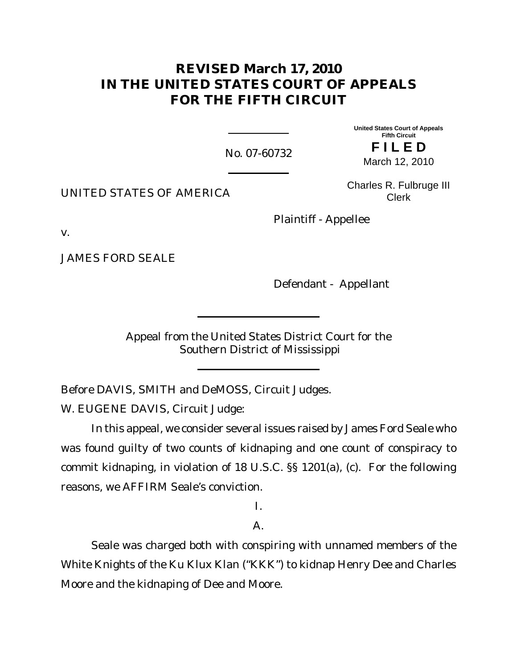# **REVISED March 17, 2010 IN THE UNITED STATES COURT OF APPEALS FOR THE FIFTH CIRCUIT**

No. 07-60732

**United States Court of Appeals Fifth Circuit F I L E D** March 12, 2010

UNITED STATES OF AMERICA

Charles R. Fulbruge III Clerk

Plaintiff - Appellee

v.

JAMES FORD SEALE

Defendant - Appellant

Appeal from the United States District Court for the Southern District of Mississippi

Before DAVIS, SMITH and DeMOSS, Circuit Judges.

W. EUGENE DAVIS, Circuit Judge:

In this appeal, we consider several issues raised by James Ford Seale who was found guilty of two counts of kidnaping and one count of conspiracy to commit kidnaping, in violation of 18 U.S.C. §§ 1201(a), (c). For the following reasons, we AFFIRM Seale's conviction.

I.

## $A<sub>1</sub>$

Seale was charged both with conspiring with unnamed members of the White Knights of the Ku Klux Klan ("KKK") to kidnap Henry Dee and Charles Moore and the kidnaping of Dee and Moore.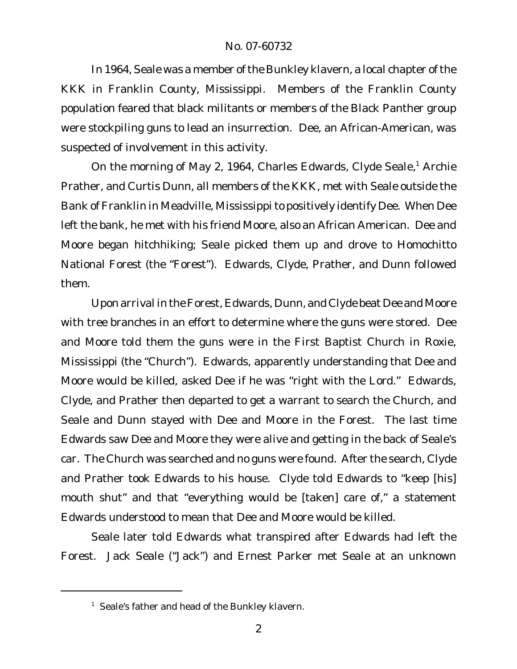In 1964, Seale was a member of the Bunkley klavern, a local chapter of the KKK in Franklin County, Mississippi. Members of the Franklin County population feared that black militants or members of the Black Panther group were stockpiling guns to lead an insurrection. Dee, an African-American, was suspected of involvement in this activity.

On the morning of May 2, 1964, Charles Edwards, Clyde Seale,<sup>1</sup> Archie Prather, and Curtis Dunn, all members of the KKK, met with Seale outside the Bank of Franklin in Meadville, Mississippito positively identify Dee. When Dee left the bank, he met with his friend Moore, also an African American. Dee and Moore began hitchhiking; Seale picked them up and drove to Homochitto National Forest (the "Forest"). Edwards, Clyde, Prather, and Dunn followed them.

Upon arrival in theForest, Edwards, Dunn, and Clyde beat Dee and Moore with tree branches in an effort to determine where the guns were stored. Dee and Moore told them the guns were in the First Baptist Church in Roxie, Mississippi (the "Church"). Edwards, apparently understanding that Dee and Moore would be killed, asked Dee if he was "right with the Lord." Edwards, Clyde, and Prather then departed to get a warrant to search the Church, and Seale and Dunn stayed with Dee and Moore in the Forest. The last time Edwards saw Dee and Moore they were alive and getting in the back of Seale's car. The Church was searched and no guns were found. After the search, Clyde and Prather took Edwards to his house. Clyde told Edwards to "keep [his] mouth shut" and that "everything would be [taken] care of," a statement Edwards understood to mean that Dee and Moore would be killed.

Seale later told Edwards what transpired after Edwards had left the Forest. Jack Seale ("Jack") and Ernest Parker met Seale at an unknown

<sup>&</sup>lt;sup>1</sup> Seale's father and head of the Bunkley klavern.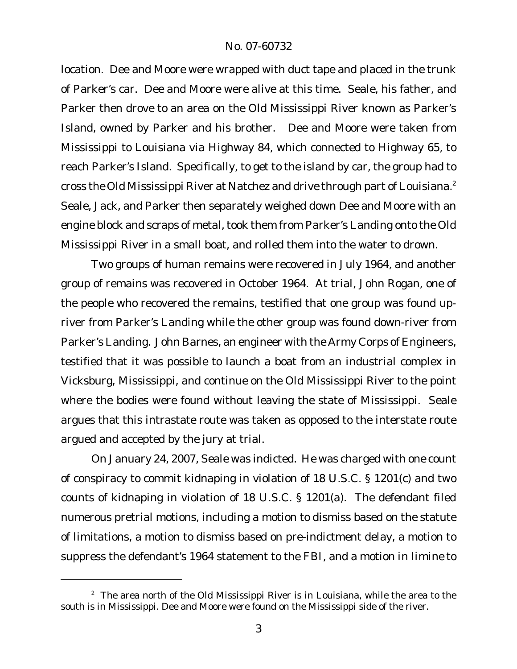location. Dee and Moore were wrapped with duct tape and placed in the trunk of Parker's car. Dee and Moore were alive at this time. Seale, his father, and Parker then drove to an area on the Old Mississippi River known as Parker's Island, owned by Parker and his brother. Dee and Moore were taken from Mississippi to Louisiana via Highway 84, which connected to Highway 65, to reach Parker's Island. Specifically, to get to the island by car, the group had to cross the Old Mississippi River at Natchez and drive through part of Louisiana.<sup>2</sup> Seale, Jack, and Parker then separately weighed down Dee and Moore with an engine block and scraps of metal, took them from Parker's Landing onto the Old Mississippi River in a small boat, and rolled them into the water to drown.

Two groups of human remains were recovered in July 1964, and another group of remains was recovered in October 1964. At trial, John Rogan, one of the people who recovered the remains, testified that one group was found upriver from Parker's Landing while the other group was found down-river from Parker's Landing. John Barnes, an engineer with the Army Corps of Engineers, testified that it was possible to launch a boat from an industrial complex in Vicksburg, Mississippi, and continue on the Old Mississippi River to the point where the bodies were found without leaving the state of Mississippi. Seale argues that this intrastate route was taken as opposed to the interstate route argued and accepted by the jury at trial.

On January 24, 2007, Seale was indicted. He was charged with one count of conspiracy to commit kidnaping in violation of 18 U.S.C. § 1201(c) and two counts of kidnaping in violation of 18 U.S.C. § 1201(a). The defendant filed numerous pretrial motions, including a motion to dismiss based on the statute of limitations, a motion to dismiss based on pre-indictment delay, a motion to suppress the defendant's 1964 statement to the FBI, and a motion *in limine* to

 $2$  The area north of the Old Mississippi River is in Louisiana, while the area to the south is in Mississippi. Dee and Moore were found on the Mississippi side of the river.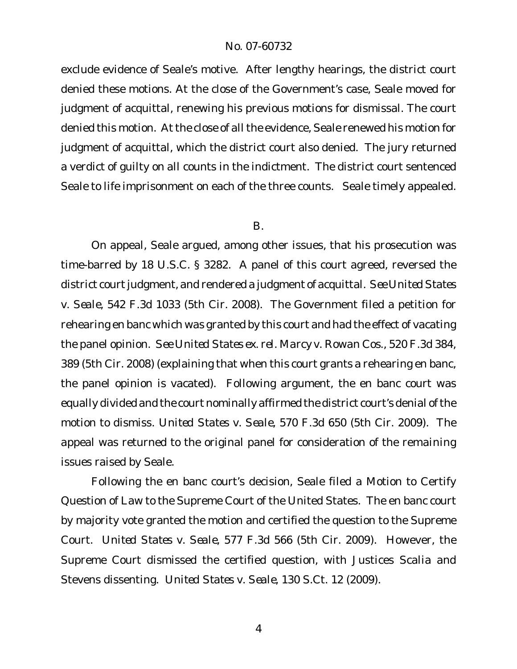exclude evidence of Seale's motive. After lengthy hearings, the district court denied these motions. At the close of the Government's case, Seale moved for judgment of acquittal, renewing his previous motions for dismissal. The court denied this motion. At the close of all the evidence, Seale renewed his motion for judgment of acquittal, which the district court also denied. The jury returned a verdict of guilty on all counts in the indictment. The district court sentenced Seale to life imprisonment on each of the three counts. Seale timely appealed.

#### B.

On appeal, Seale argued, among other issues, that his prosecution was time-barred by 18 U.S.C. § 3282. A panel of this court agreed, reversed the district court judgment, and rendered a judgment of acquittal. See United States *v. Seale,* 542 F.3d 1033 (5th Cir. 2008). The Government filed a petition for rehearing en banc which was granted by this court and had the effect of vacating the panel opinion. *See United States ex. rel. Marcy v. Rowan Cos.,* 520 F.3d 384, 389 (5th Cir. 2008) (explaining that when this court grants a rehearing en banc, the panel opinion is vacated). Following argument, the en banc court was equally divided and the court nominally affirmed the district court's denial ofthe motion to dismiss. *United States v. Seale*, 570 F.3d 650 (5th Cir. 2009). The appeal was returned to the original panel for consideration of the remaining issues raised by Seale.

Following the en banc court's decision, Seale filed a Motion to Certify Question of Law to the Supreme Court of the United States. The en banc court by majority vote granted the motion and certified the question to the Supreme Court. *United States v. Seale*, 577 F.3d 566 (5th Cir. 2009). However, the Supreme Court dismissed the certified question, with Justices Scalia and Stevens dissenting. *United States v. Seale*, 130 S.Ct. 12 (2009).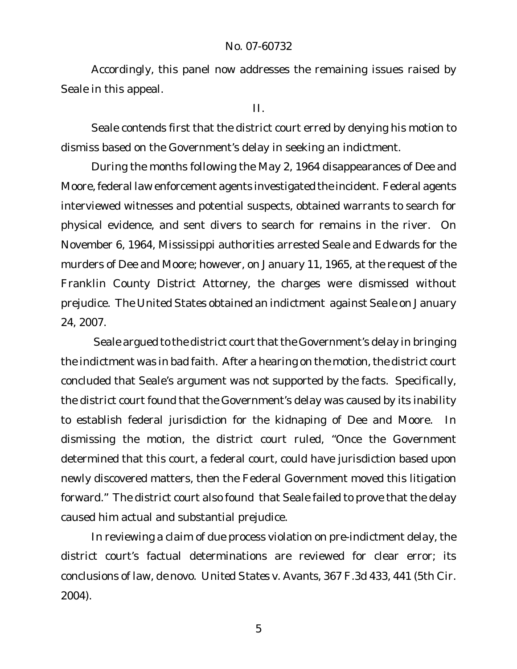Accordingly, this panel now addresses the remaining issues raised by Seale in this appeal.

### II.

Seale contends first that the district court erred by denying his motion to dismiss based on the Government's delay in seeking an indictment.

During the months following the May 2, 1964 disappearances of Dee and Moore,federal law enforcement agents investigated the incident. Federal agents interviewed witnesses and potential suspects, obtained warrants to search for physical evidence, and sent divers to search for remains in the river. On November 6, 1964, Mississippi authorities arrested Seale and Edwards for the murders of Dee and Moore; however, on January 11, 1965, at the request of the Franklin County District Attorney, the charges were dismissed without prejudice. The United States obtained an indictment against Seale on January 24, 2007.

Seale argued to the district court that the Government's delay in bringing the indictment was in bad faith. After a hearing on the motion, the district court concluded that Seale's argument was not supported by the facts. Specifically, the district court found that the Government's delay was caused by its inability to establish federal jurisdiction for the kidnaping of Dee and Moore. In dismissing the motion, the district court ruled, "Once the Government determined that this court, a federal court, could have jurisdiction based upon newly discovered matters, then the Federal Government moved this litigation forward." The district court also found that Seale failed to prove that the delay caused him actual and substantial prejudice.

In reviewing a claim of due process violation on pre-indictment delay, the district court's factual determinations are reviewed for clear error; its conclusions of law, *de novo*. *United States v. Avants*, 367 F.3d 433, 441 (5th Cir. 2004).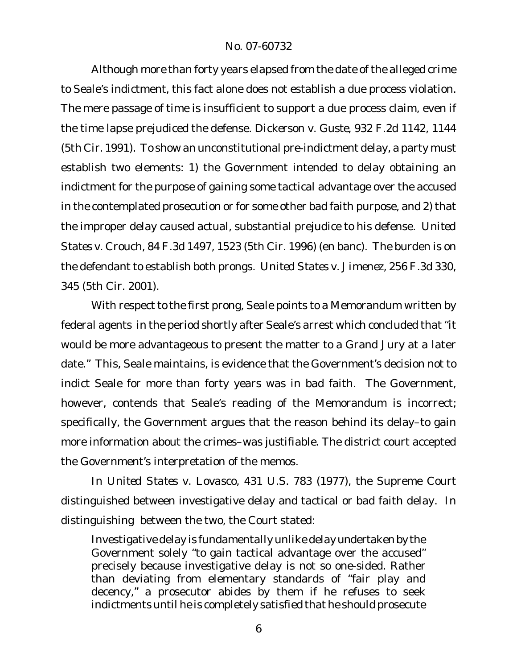Although more than forty years elapsed from the date of the alleged crime to Seale's indictment, this fact alone does not establish a due process violation. The mere passage of time is insufficient to support a due process claim, even if the time lapse prejudiced the defense. *Dickerson v. Guste*, 932 F.2d 1142, 1144 (5th Cir. 1991). To show an unconstitutional pre-indictment delay, a party must establish two elements: 1) the Government intended to delay obtaining an indictment for the purpose of gaining some tactical advantage over the accused in the contemplated prosecution or for some other bad faith purpose, and 2) that the improper delay caused actual, substantial prejudice to his defense. *United States v. Crouch*, 84 F.3d 1497, 1523 (5th Cir. 1996) (en banc). The burden is on the defendant to establish both prongs. *United States v. Jimenez*, 256 F.3d 330, 345 (5th Cir. 2001).

With respect to the first prong, Seale points to a Memorandum written by federal agents in the period shortly after Seale's arrest which concluded that "it would be more advantageous to present the matter to a Grand Jury at a later date." This, Seale maintains, is evidence that the Government's decision not to indict Seale for more than forty years was in bad faith. The Government, however, contends that Seale's reading of the Memorandum is incorrect; specifically, the Government argues that the reason behind its delay–to gain more information about the crimes–was justifiable. The district court accepted the Government's interpretation of the memos.

In *United States v. Lovasco*, 431 U.S. 783 (1977), the Supreme Court distinguished between investigative delay and tactical or bad faith delay. In distinguishing between the two, the Court stated:

Investigative delay is fundamentally unlike delay undertaken by the Government solely "to gain tactical advantage over the accused" precisely because investigative delay is not so one-sided. Rather than deviating from elementary standards of "fair play and decency," a prosecutor abides by them if he refuses to seek indictments until he is completely satisfied that he should prosecute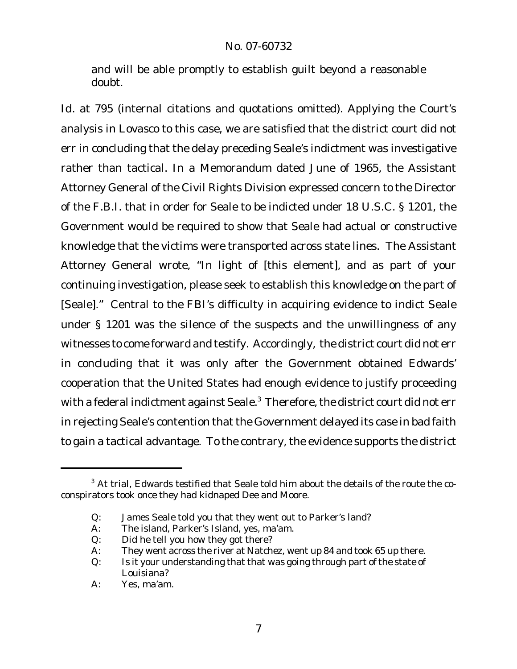and will be able promptly to establish guilt beyond a reasonable doubt.

*Id.* at 795 (internal citations and quotations omitted). Applying the Court's analysis in *Lovasco* to this case, we are satisfied that the district court did not err in concluding that the delay preceding Seale's indictment was investigative rather than tactical. In a Memorandum dated June of 1965, the Assistant Attorney General of the Civil Rights Division expressed concern to the Director of the F.B.I. that in order for Seale to be indicted under 18 U.S.C. § 1201, the Government would be required to show that Seale had actual or constructive knowledge that the victims were transported across state lines. The Assistant Attorney General wrote, "In light of [this element], and as part of your continuing investigation, please seek to establish this knowledge on the part of [Seale]." Central to the FBI's difficulty in acquiring evidence to indict Seale under § 1201 was the silence of the suspects and the unwillingness of any witnesses to come forward and testify. Accordingly, the district court did not err in concluding that it was only after the Government obtained Edwards' cooperation that the United States had enough evidence to justify proceeding with a federal indictment against Seale.<sup>3</sup> Therefore, the district court did not err in rejecting Seale's contention that the Government delayed its case in bad faith to gain a tactical advantage. To the contrary, the evidence supports the district

<sup>&</sup>lt;sup>3</sup> At trial, Edwards testified that Seale told him about the details of the route the coconspirators took once they had kidnaped Dee and Moore.

Q: James Seale told you that they went out to Parker's land?

A: The island, Parker's Island, yes, ma'am.

Q: Did he tell you how they got there?

A: They went across the river at Natchez, went up 84 and took 65 up there.

Q: Is it your understanding that that was going through part of the state of Louisiana?

A: Yes, ma'am.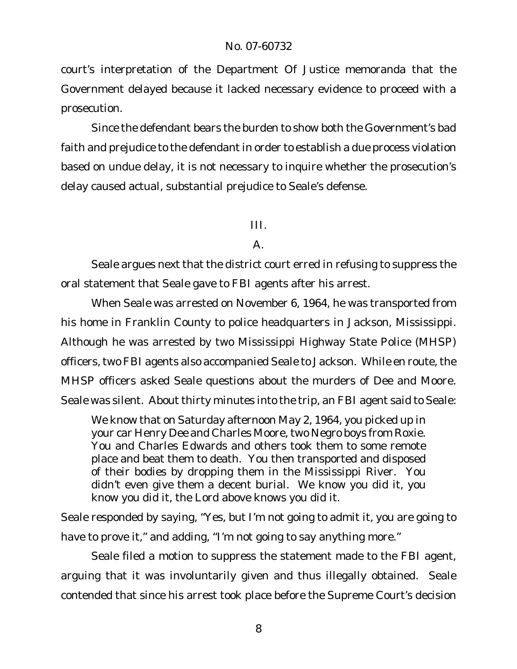court's interpretation of the Department Of Justice memoranda that the Government delayed because it lacked necessary evidence to proceed with a prosecution.

Since the defendant bears the burden to show both the Government's bad faith and prejudice to the defendant in order to establish a due process violation based on undue delay, it is not necessary to inquire whether the prosecution's delay caused actual, substantial prejudice to Seale's defense.

## III.

## $A<sub>1</sub>$

Seale argues next that the district court erred in refusing to suppress the oral statement that Seale gave to FBI agents after his arrest.

When Seale was arrested on November 6, 1964, he was transported from his home in Franklin County to police headquarters in Jackson, Mississippi. Although he was arrested by two Mississippi Highway State Police (MHSP) officers, two FBI agents also accompanied Seale to Jackson. While en route, the MHSP officers asked Seale questions about the murders of Dee and Moore. Seale was silent. About thirty minutes into the trip, an FBI agent said to Seale:

We know that on Saturday afternoon May 2, 1964, you picked up in your car Henry Dee and Charles Moore, two Negro boys from Roxie. You and Charles Edwards and others took them to some remote place and beat them to death. You then transported and disposed of their bodies by dropping them in the Mississippi River. You didn't even give them a decent burial. We know you did it, you know you did it, the Lord above knows you did it.

Seale responded by saying, "Yes, but I'm not going to admit it, you are going to have to prove it," and adding, "I'm not going to say anything more."

Seale filed a motion to suppress the statement made to the FBI agent, arguing that it was involuntarily given and thus illegally obtained. Seale contended that since his arrest took place before the Supreme Court's decision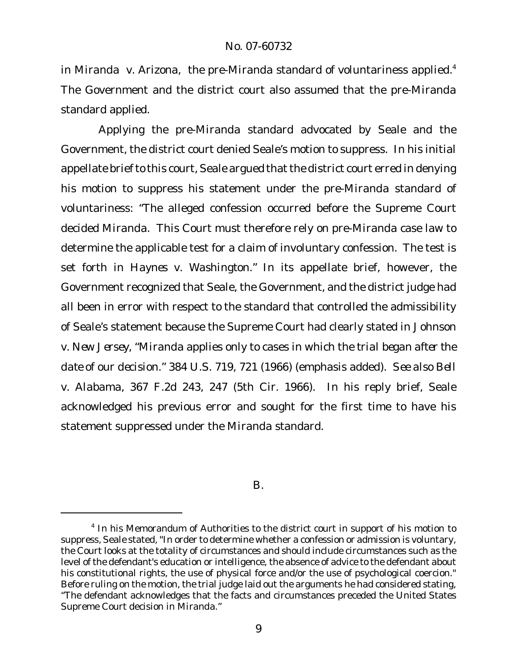in *Miranda v. Arizona*, the pre*-Miranda* standard of voluntariness applied.<sup>4</sup> The Government and the district court also assumed that the pre-*Miranda* standard applied.

Applying the pre-*Miranda* standard advocated by Seale and the Government, the district court denied Seale's motion to suppress. In his initial appellate brief to this court, Seale argued that the district court erred in denying his motion to suppress his statement under the pre-*Miranda* standard of voluntariness: "The alleged confession occurred before the Supreme Court decided *Miranda*. This Court must therefore rely on pre-*Miranda* case law to determine the applicable test for a claim of involuntary confession. The test is set forth in *Haynes v. Washington*.*"* In its appellate brief, however, the Government recognized that Seale, the Government, and the district judge had all been in error with respect to the standard that controlled the admissibility of Seale's statement because the Supreme Court had clearly stated in *Johnson v. New Jersey*, "*Miranda* applies only to cases in which the *trial began after the date of our decision.*" 384 U.S. 719, 721 (1966) (emphasis added). *See also Bell v. Alabama*, 367 F.2d 243, 247 (5th Cir. 1966). In his reply brief, Seale acknowledged his previous error and sought for the first time to have his statement suppressed under the *Miranda* standard.

B.

<sup>&</sup>lt;sup>4</sup> In his Memorandum of Authorities to the district court in support of his motion to suppress, Seale stated, "In order to determine whether a confession or admission is voluntary, the Court looks at the totality of circumstances and should include circumstances such as the level of the defendant's education or intelligence, the absence of advice to the defendant about his constitutional rights, the use of physical force and/or the use of psychological coercion." Before ruling on the motion, the trial judge laid out the arguments he had considered stating, "The defendant acknowledges that the facts and circumstances preceded the United States Supreme Court decision in *Miranda*."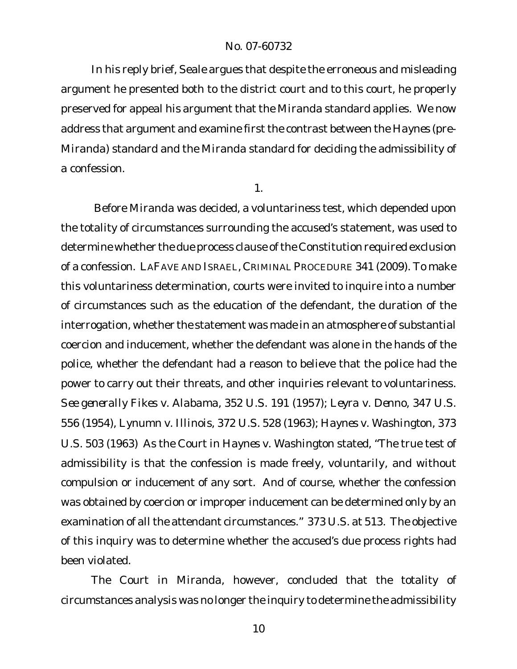In his reply brief, Seale argues that despite the erroneous and misleading argument he presented both to the district court and to this court, he properly preserved for appeal his argument that the *Miranda* standard applies. We now address that argument and examine first the contrast between the *Haynes* (pre-*Miranda*) standard and the *Miranda* standard for deciding the admissibility of a confession.

1.

Before *Miranda* was decided, a voluntariness test, which depended upon the totality of circumstances surrounding the accused's statement, was used to determine whether the due process clause of the Constitution required exclusion of a confession. LAFAVE AND ISRAEL, CRIMINAL PROCEDURE 341 (2009). To make this voluntariness determination, courts were invited to inquire into a number of circumstances such as the education of the defendant, the duration of the interrogation, whether the statement was made in an atmosphere of substantial coercion and inducement, whether the defendant was alone in the hands of the police, whether the defendant had a reason to believe that the police had the power to carry out their threats, and other inquiries relevant to voluntariness. *See generally Fikes v. Alabama,* 352 U.S. 191 (1957); *Leyra v. Denno*, 347 U.S. 556 (1954), *Lynumn v. Illinois*, 372 U.S. 528 (1963); *Haynes v. Washington*, 373 U.S. 503 (1963) As the Court in *Haynes v. Washington* stated, "The true test of admissibility is that the confession is made freely, voluntarily, and without compulsion or inducement of any sort. And of course, whether the confession was obtained by coercion or improper inducement can be determined only by an examination of all the attendant circumstances." 373 U.S. at 513. The objective of this inquiry was to determine whether the accused's due process rights had been violated.

The Court in *Miranda*, however, concluded that the totality of circumstances analysis was no longer the inquiry to determine the admissibility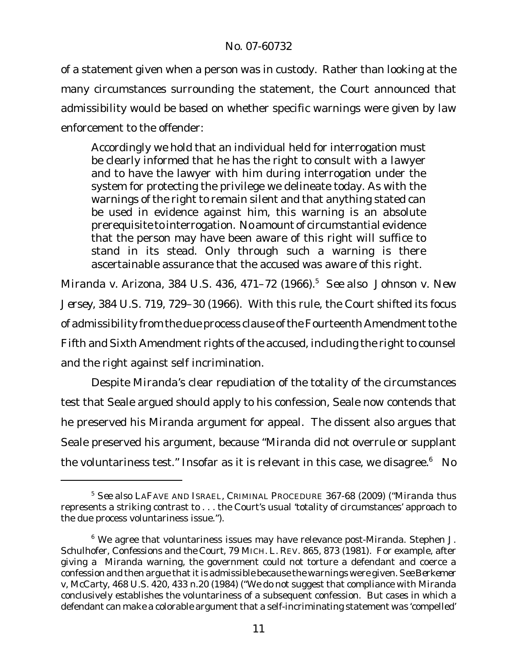of a statement given when a person was in custody. Rather than looking at the many circumstances surrounding the statement, the Court announced that admissibility would be based on whether specific warnings were given by law enforcement to the offender:

Accordingly we hold that an individual held for interrogation must be clearly informed that he has the right to consult with a lawyer and to have the lawyer with him during interrogation under the system for protecting the privilege we delineate today. As with the warnings of the right to remain silent and that anything stated can be used in evidence against him, this warning is an absolute prerequisite to interrogation. No amount of circumstantial evidence that the person may have been aware of this right will suffice to stand in its stead. Only through such a warning is there ascertainable assurance that the accused was aware of this right.

*Miranda v. Arizona*, 384 U.S. 436, 471–72 (1966).<sup>5</sup> *See also Johnson v. New Jersey*, 384 U.S. 719, 729–30 (1966). With this rule, the Court shifted its focus of admissibility from the due process clause of the Fourteenth Amendment to the Fifth and Sixth Amendment rights of the accused, including the right to counsel and the right against self incrimination.

Despite *Miranda*'s clear repudiation of the totality of the circumstances test that Seale argued should apply to his confession, Seale now contends that he preserved his *Miranda* argument for appeal. The dissent also argues that Seale preserved his argument, because *"Miranda* did not overrule or supplant the voluntariness test." Insofar as it is relevant in this case, we disagree.<sup>6</sup> No

<sup>5</sup> *See also* LAFAVE AND ISRAEL, CRIMINAL PROCEDURE 367-68 (2009) ("*Miranda* thus represents a striking contrast to . . . the Court's usual 'totality of circumstances' approach to the due process voluntariness issue.*"*).

<sup>6</sup> We agree that voluntariness issues may have relevance post-*Miranda*. Stephen J. Schulhofer*, Confessions and the Court*, 79 MICH. L. REV. 865, 873 (1981). For example, after giving a *Miranda* warning, the government could not torture a defendant and coerce a confession and then argue that it is admissible because the warnings were given. *See Berkemer v, McCarty*, 468 U.S. 420, 433 n.20 (1984) ("We do not suggest that compliance with *Miranda* conclusively establishes the voluntariness of a subsequent confession. But cases in which a defendant can make a colorable argument that a self-incriminating statement was 'compelled'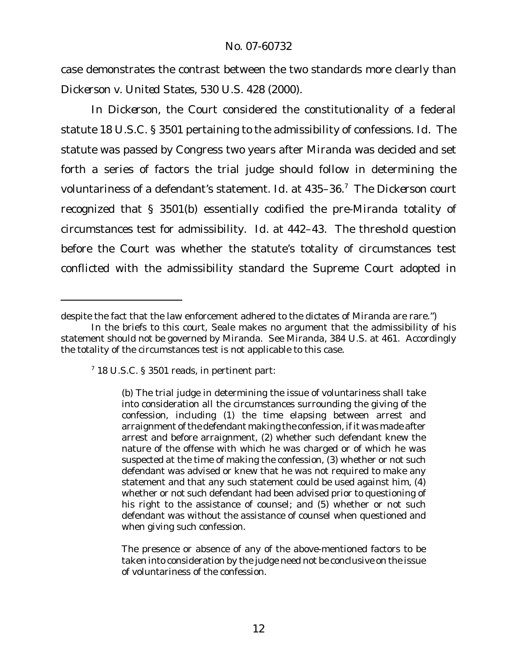case demonstrates the contrast between the two standards more clearly than *Dickerson v. United States*, 530 U.S. 428 (2000).

In *Dickerson,* the Court considered the constitutionality of a federal statute 18 U.S.C. § 3501 pertaining to the admissibility of confessions. *Id.* The statute was passed by Congress two years after *Miranda* was decided and set forth a series of factors the trial judge should follow in determining the voluntariness of a defendant's statement. *Id.* at 435–36.<sup>7</sup> The *Dickerson* court recognized that § 3501(b) essentially codified the pre-*Miranda* totality of circumstances test for admissibility. *Id.* at 442–43. The threshold question before the Court was whether the statute's totality of circumstances test conflicted with the admissibility standard the Supreme Court adopted in

despite the fact that the law enforcement adhered to the dictates of *Miranda* are rare.")

In the briefs to this court, Seale makes no argument that the admissibility of his statement should not be governed by *Miranda*. See *Miranda*, 384 U.S. at 461. Accordingly the totality of the circumstances test is not applicable to this case.

 $7$  18 U.S.C. § 3501 reads, in pertinent part:

<sup>(</sup>b) The trial judge in determining the issue of voluntariness shall take into consideration all the circumstances surrounding the giving of the confession, including (1) the time elapsing between arrest and arraignment of the defendant making the confession, if it was made after arrest and before arraignment, (2) whether such defendant knew the nature of the offense with which he was charged or of which he was suspected at the time of making the confession, (3) whether or not such defendant was advised or knew that he was not required to make any statement and that any such statement could be used against him, (4) whether or not such defendant had been advised prior to questioning of his right to the assistance of counsel; and (5) whether or not such defendant was without the assistance of counsel when questioned and when giving such confession.

The presence or absence of any of the above-mentioned factors to be taken into consideration by the judge need not be conclusive on the issue of voluntariness of the confession.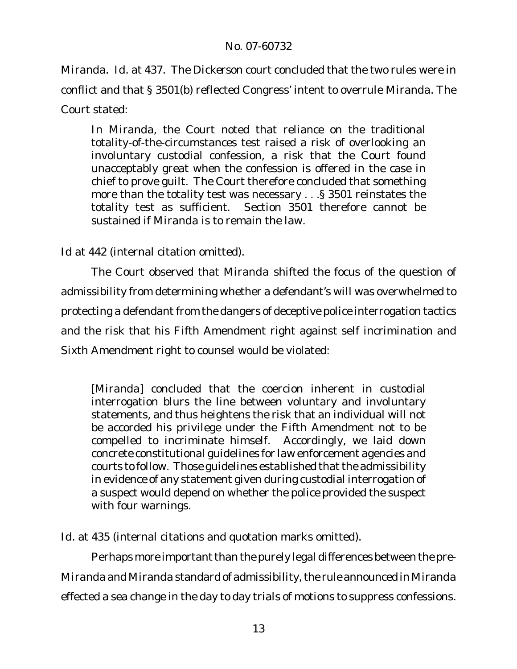*Miranda*. *Id.* at 437. The *Dickerson* court concluded that the two rules were in conflict and that § 3501(b) reflected Congress' intent to overrule *Miranda*. The Court stated:

In *Miranda*, the Court noted that reliance on the traditional totality-of-the-circumstances test raised a risk of overlooking an involuntary custodial confession, a risk that the Court found unacceptably great when the confession is offered in the case in chief to prove guilt. The Court therefore concluded that something more than the totality test was necessary . . .§ 3501 reinstates the totality test as sufficient. Section 3501 therefore cannot be sustained if *Miranda* is to remain the law.

*Id* at 442 (internal citation omitted).

The Court observed that *Miranda* shifted the focus of the question of admissibility from determining whether a defendant's will was overwhelmed to protecting a defendant from the dangers of deceptive police interrogation tactics and the risk that his Fifth Amendment right against self incrimination and Sixth Amendment right to counsel would be violated:

[*Miranda*] concluded that the coercion inherent in custodial interrogation blurs the line between voluntary and involuntary statements, and thus heightens the risk that an individual will not be accorded his privilege under the Fifth Amendment not to be compelled to incriminate himself. Accordingly, we laid down concrete constitutional guidelines for law enforcement agencies and courts to follow. Those guidelines established that the admissibility in evidence of any statement given during custodial interrogation of a suspect would depend on whether the police provided the suspect with four warnings.

*Id.* at 435 (internal citations and quotation marks omitted).

Perhaps more important than the purely legal differences between the pre*-Miranda* and *Miranda* standard of admissibility, the rule announced in Miranda effected a sea change in the day to day trials of motions to suppress confessions.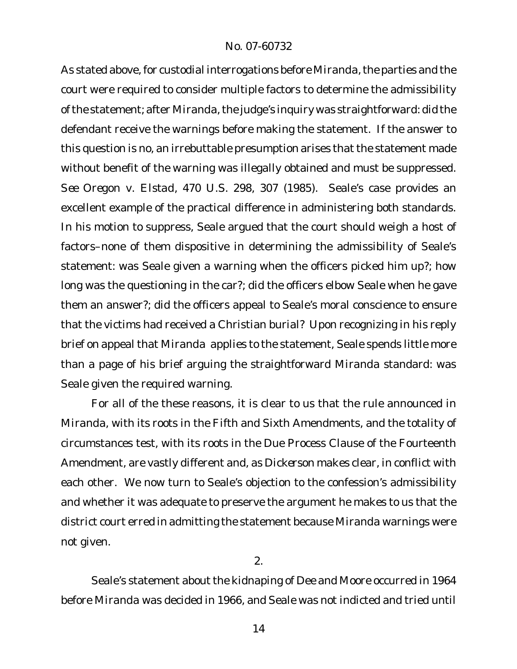As stated above, for custodial interrogations before Miranda, the parties and the court were required to consider multiple factors to determine the admissibility ofthe statement; after *Miranda,*the judge's inquiry was straightforward: did the defendant receive the warnings before making the statement. If the answer to this question is no, an irrebuttable presumption arises that the statement made without benefit of the warning was illegally obtained and must be suppressed. *See Oregon v. Elstad*, 470 U.S. 298, 307 (1985). Seale's case provides an excellent example of the practical difference in administering both standards. In his motion to suppress, Seale argued that the court should weigh a host of factors–none of them dispositive in determining the admissibility of Seale's statement: was Seale given a warning when the officers picked him up?; how long was the questioning in the car?; did the officers elbow Seale when he gave them an answer?; did the officers appeal to Seale's moral conscience to ensure that the victims had received a Christian burial? Upon recognizing in his reply brief on appeal that *Miranda* applies to the statement, Seale spends little more than a page of his brief arguing the straightforward *Miranda* standard: was Seale given the required warning.

For all of the these reasons, it is clear to us that the rule announced in *Miranda*, with its roots in the Fifth and Sixth Amendments, and the totality of circumstances test, with its roots in the Due Process Clause of the Fourteenth Amendment, are vastly different and, as *Dickerson* makes clear, in conflict with each other. We now turn to Seale's objection to the confession's admissibility and whether it was adequate to preserve the argument he makes to us that the district court erred in admitting the statement because *Miranda* warnings were not given.

2.

Seale's statement about the kidnaping of Dee and Moore occurred in 1964 before *Miranda* was decided in 1966, and Seale was not indicted and tried until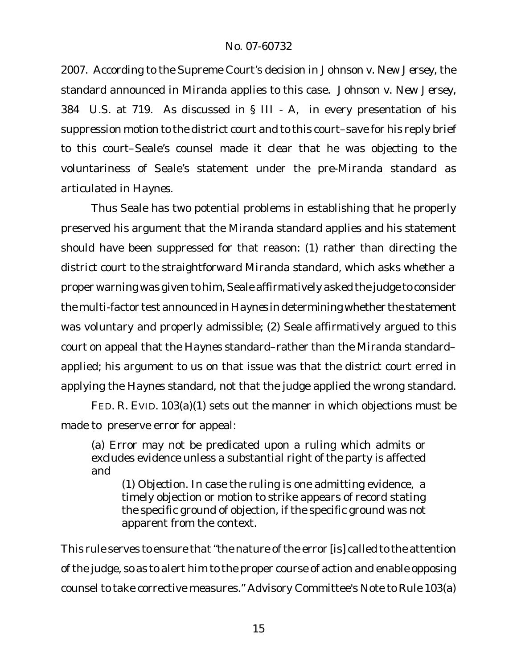2007. According to the Supreme Court's decision in *Johnson v. New Jersey,* the standard announced in *Miranda* applies to this case. *Johnson v. New Jersey,* 384 U.S. at 719. As discussed in § III - A, in every presentation of his suppression motion to the district court and to this court–save for his reply brief to this court–Seale's counsel made it clear that he was objecting to the voluntariness of Seale's statement under the pre-*Miranda* standard as articulated in *Haynes*.

Thus Seale has two potential problems in establishing that he properly preserved his argument that the *Miranda* standard applies and his statement should have been suppressed for that reason: (1) rather than directing the district court to the straightforward *Miranda* standard, which asks whether a proper warning was given to him, Seale affirmatively asked the judge to consider the multi-factor test announced in *Haynes* in determining whether the statement was voluntary and properly admissible; (2) Seale affirmatively argued to this court on appeal that the *Haynes* standard–rather than the *Miranda* standard– applied; his argument to us on that issue was that the district court erred in applying the *Haynes* standard, not that the judge applied the wrong standard.

FED. R. EVID. 103(a)(1) sets out the manner in which objections must be made to preserve error for appeal:

(a) Error may not be predicated upon a ruling which admits or excludes evidence unless a substantial right of the party is affected and

(1) *Objection*. In case the ruling is one admitting evidence, a timely objection or motion to strike appears of record stating the specific ground of objection, if the specific ground was not apparent from the context.

This rule serves to ensure that"the nature of the error [is] called to the attention of the judge, so as to alert him to the proper course of action and enable opposing counsel to take corrective measures." Advisory Committee's Note to Rule 103(a)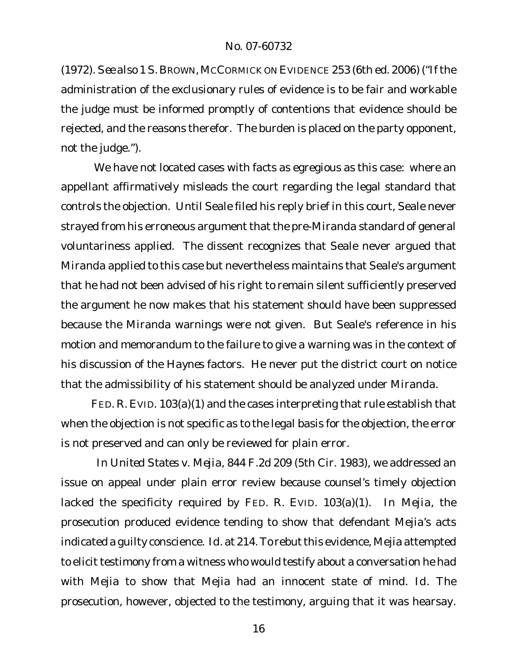(1972). *See also* 1 S. BROWN,MCCORMICKON EVIDENCE 253 (6th ed. 2006) ("Ifthe administration of the exclusionary rules of evidence is to be fair and workable the judge must be informed promptly of contentions that evidence should be rejected, and the reasons therefor. The burden is placed on the party opponent, not the judge.").

We have not located cases with facts as egregious as this case: where an appellant affirmatively misleads the court regarding the legal standard that controls the objection. Until Seale filed his reply brief in this court, Seale never strayed from his erroneous argument that the pre-*Miranda* standard of general voluntariness applied. The dissent recognizes that Seale never argued that *Miranda* applied to this case but nevertheless maintains that Seale's argument that he had not been advised of his right to remain silent sufficiently preserved the argument he now makes that his statement should have been suppressed because the *Miranda* warnings were not given. But Seale's reference in his motion and memorandum to the failure to give a warning was in the context of his discussion of the *Haynes* factors. He never put the district court on notice that the admissibility of his statement should be analyzed under *Miranda*.

FED. R. EVID. 103(a)(1) and the cases interpreting that rule establish that when the objection is not specific as to the legal basis for the objection, the error is not preserved and can only be reviewed for plain error.

In *United States v. Mejia*, 844 F.2d 209 (5th Cir. 1983), we addressed an issue on appeal under plain error review because counsel's timely objection lacked the specificity required by FED. R. EVID. 103(a)(1). In *Mejia*, the prosecution produced evidence tending to show that defendant Mejia's acts indicated a guilty conscience. Id. at 214. To rebut this evidence, Mejia attempted to elicit testimony from a witness who would testify about a conversation he had with Mejia to show that Mejia had an innocent state of mind. *Id.* The prosecution, however, objected to the testimony, arguing that it was hearsay.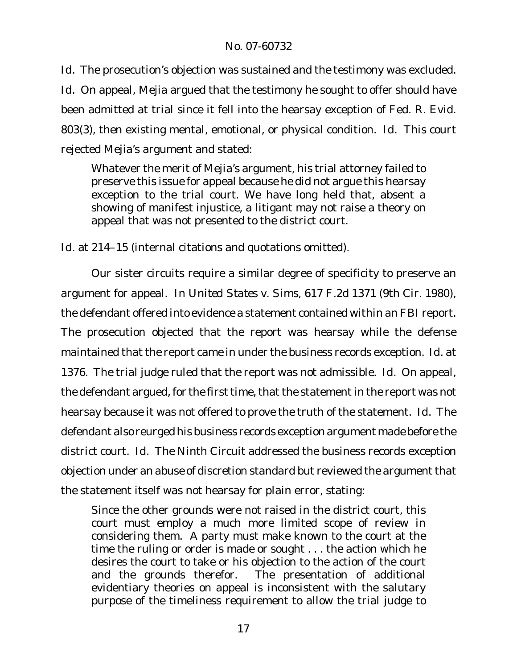*Id.* The prosecution's objection was sustained and the testimony was excluded. *Id.* On appeal, Mejia argued that the testimony he sought to offer should have been admitted at trial since it fell into the hearsay exception of Fed. R. Evid. 803(3), then existing mental, emotional, or physical condition. *Id.* This court rejected Mejia's argument and stated:

Whatever the merit of Mejia's argument, his trial attorney failed to preserve this issue for appeal because he did not argue this hearsay exception to the trial court. We have long held that, absent a showing of manifest injustice, a litigant may not raise a theory on appeal that was not presented to the district court.

*Id.* at 214–15 (internal citations and quotations omitted).

Our sister circuits require a similar degree of specificity to preserve an argument for appeal. In *United States v. Sims*, 617 F.2d 1371 (9th Cir. 1980), the defendant offered into evidence a statement contained within an FBI report. The prosecution objected that the report was hearsay while the defense maintained that the report came in under the business records exception. *Id.* at 1376. The trial judge ruled that the report was not admissible. *Id.* On appeal, the defendant argued, for the first time, that the statement in the report was not hearsay because it was not offered to prove the truth of the statement. *Id.* The defendant also reurged his business records exception argument made before the district court. *Id.* The Ninth Circuit addressed the business records exception objection under an abuse of discretion standard but reviewed the argument that the statement itself was not hearsay for plain error, stating:

Since the other grounds were not raised in the district court, this court must employ a much more limited scope of review in considering them. A party must make known to the court at the time the ruling or order is made or sought . . . the action which he desires the court to take or his objection to the action of the court and the grounds therefor. The presentation of additional evidentiary theories on appeal is inconsistent with the salutary purpose of the timeliness requirement to allow the trial judge to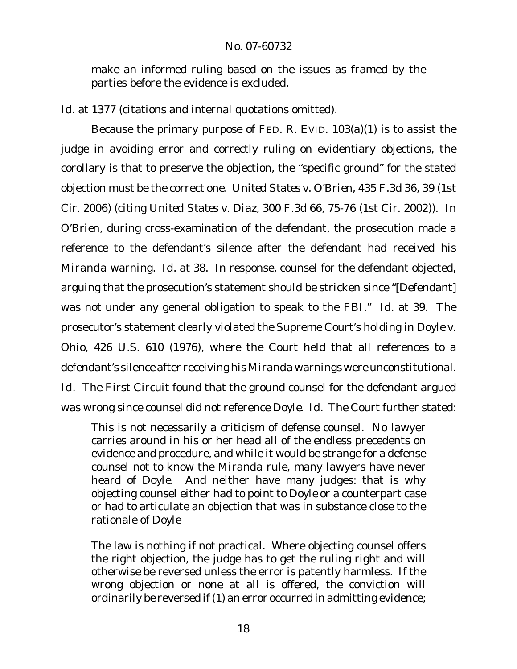make an informed ruling based on the issues as framed by the parties before the evidence is excluded*.* 

*Id.* at 1377 (citations and internal quotations omitted).

Because the primary purpose of FED. R. EVID. 103(a)(1) is to assist the judge in avoiding error and correctly ruling on evidentiary objections, the corollary is that to preserve the objection, the "specific ground" for the stated objection must be the correct one. *United States v. O'Brien*, 435 F.3d 36, 39 (1st Cir. 2006) (*citing United States v. Diaz*, 300 F.3d 66, 75-76 (1st Cir. 2002)). In *O'Brien*, during cross-examination of the defendant, the prosecution made a reference to the defendant's silence after the defendant had received his *Miranda* warning. *Id.* at 38. In response, counsel for the defendant objected, arguing that the prosecution's statement should be stricken since "[Defendant] was not under any general obligation to speak to the FBI." *Id.* at 39. The prosecutor's statement clearly violated the Supreme Court's holding in *Doyle v. Ohio*, 426 U.S. 610 (1976), where the Court held that all references to a defendant's silence after receiving his *Miranda* warnings were unconstitutional. *Id.* The First Circuit found that the ground counsel for the defendant argued was wrong since counsel did not reference *Doyle. Id.* The Court further stated:

This is not necessarily a criticism of defense counsel. No lawyer carries around in his or her head all of the endless precedents on evidence and procedure, and while it would be strange for a defense counsel not to know the *Miranda* rule, many lawyers have never heard of *Doyle*. And neither have many judges: that is why objecting counsel either had to point to *Doyle* or a counterpart case or had to articulate an objection that was in substance close to the rationale of *Doyle* 

The law is nothing if not practical. Where objecting counsel offers the right objection, the judge has to get the ruling right and will otherwise be reversed unless the error is patently harmless. If the wrong objection or none at all is offered, the conviction will ordinarily be reversed if (1) an error occurred in admitting evidence;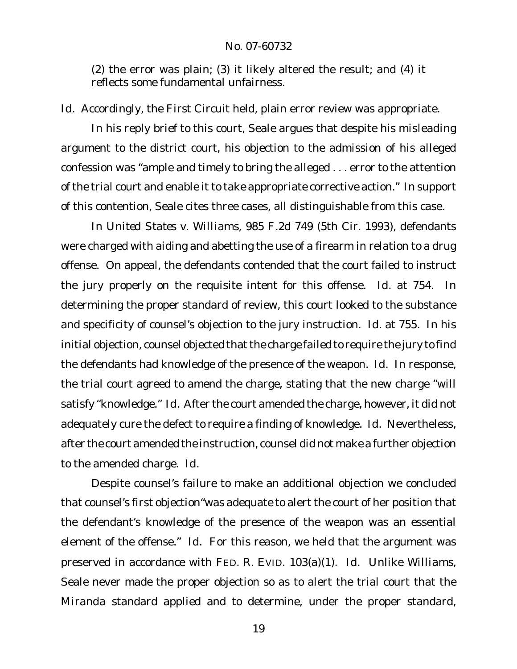(2) the error was plain; (3) it likely altered the result; and (4) it reflects some fundamental unfairness.

*Id.* Accordingly, the First Circuit held, plain error review was appropriate.

In his reply brief to this court, Seale argues that despite his misleading argument to the district court, his objection to the admission of his alleged confession was "ample and timely to bring the alleged . . . error to the attention of the trial court and enable it to take appropriate corrective action." In support of this contention, Seale cites three cases, all distinguishable from this case.

In *United States v. Williams*, 985 F.2d 749 (5th Cir. 1993), defendants were charged with aiding and abetting the use of a firearm in relation to a drug offense. On appeal, the defendants contended that the court failed to instruct the jury properly on the requisite intent for this offense. *Id.* at 754. In determining the proper standard of review, this court looked to the substance and specificity of counsel's objection to the jury instruction. *Id.* at 755. In his initial objection, counsel objected that the charge failed to require the jury to find the defendants had knowledge of the presence of the weapon. *Id.* In response, the trial court agreed to amend the charge, stating that the new charge "will satisfy "knowledge." *Id.* After the court amended the charge, however, it did not adequately cure the defect to require a finding of knowledge. *Id.* Nevertheless, after the court amended the instruction, counsel did not make a further objection to the amended charge. *Id.* 

Despite counsel's failure to make an additional objection we concluded that counsel's first objection"was adequate to alert the court of her position that the defendant's knowledge of the presence of the weapon was an essential element of the offense." *Id.* For this reason, we held that the argument was preserved in accordance with FED. R. EVID. 103(a)(1). *Id.* Unlike *Williams*, Seale never made the proper objection so as to alert the trial court that the *Miranda* standard applied and to determine, under the proper standard,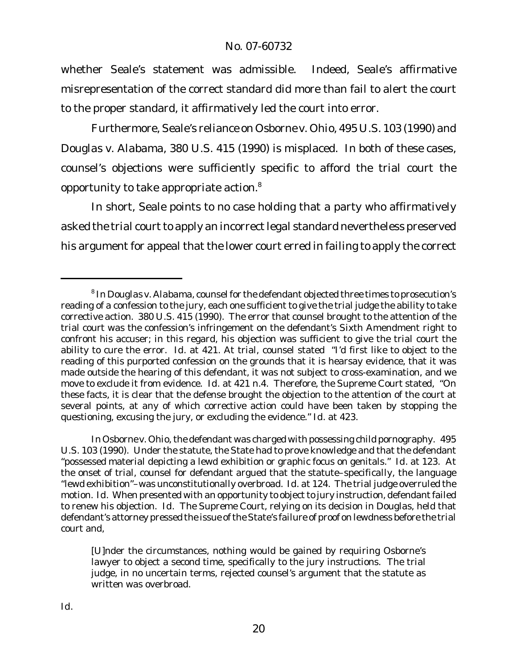whether Seale's statement was admissible. Indeed, Seale's affirmative misrepresentation of the correct standard did more than fail to alert the court to the proper standard, it affirmatively led the court into error.

Furthermore, Seale's reliance on *Osborne v. Ohio*, 495 U.S. 103 (1990) and *Douglas v. Alabama*, 380 U.S. 415 (1990) is misplaced. In both of these cases, counsel's objections were sufficiently specific to afford the trial court the opportunity to take appropriate action.<sup>8</sup>

In short, Seale points to no case holding that a party who affirmatively asked the trial court to apply an incorrect legal standard nevertheless preserved his argument for appeal that the lower court erred in failing to apply the correct

In *Osborne v. Ohio*, the defendant was charged with possessing child pornography. 495 U.S. 103 (1990). Under the statute, the State had to prove knowledge and that the defendant "possessed material depicting a lewd exhibition or graphic focus on genitals." *Id.* at 123. At the onset of trial, counsel for defendant argued that the statute–specifically, the language "lewd exhibition"–was unconstitutionally overbroad. *Id.* at 124. The trial judge overruled the motion. Id. When presented with an opportunity to object to jury instruction, defendant failed to renew his objection. *Id.* The Supreme Court, relying on its decision in *Douglas*, held that defendant's attorney pressed the issue ofthe State's failure of proof on lewdness before the trial court and,

[U]nder the circumstances, nothing would be gained by requiring Osborne's lawyer to object a second time, specifically to the jury instructions. The trial judge, in no uncertain terms, rejected counsel's argument that the statute as written was overbroad.

<sup>8</sup> In *Douglas v. Alabama*, counselfor the defendant objected three times to prosecution's reading of a confession to the jury, each one sufficient to give the trial judge the ability to take corrective action. 380 U.S. 415 (1990). The error that counsel brought to the attention of the trial court was the confession's infringement on the defendant's Sixth Amendment right to confront his accuser; in this regard, his objection was sufficient to give the trial court the ability to cure the error. *Id.* at 421. At trial, counsel stated "I'd first like to object to the reading of this purported confession on the grounds that it is hearsay evidence, that it was made outside the hearing of this defendant, it was not subject to cross-examination, and we move to exclude it from evidence. *Id.* at 421 n.4. Therefore, the Supreme Court stated, "On these facts, it is clear that the defense brought the objection to the attention of the court at several points, at any of which corrective action could have been taken by stopping the questioning, excusing the jury, or excluding the evidence." *Id.* at 423.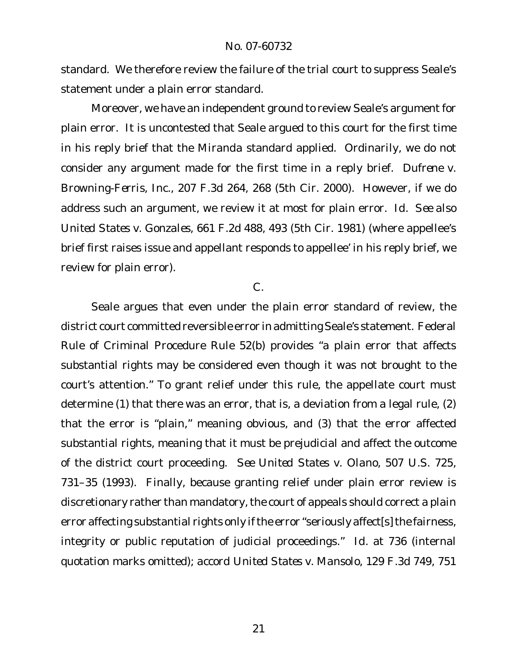standard. We therefore review the failure of the trial court to suppress Seale's statement under a plain error standard.

Moreover, we have an independent ground to review Seale's argument for plain error. It is uncontested that Seale argued to this court for the first time in his reply brief that the *Miranda* standard applied. Ordinarily, we do not consider any argument made for the first time in a reply brief. *Dufrene v. Browning-Ferris, Inc.*, 207 F.3d 264, 268 (5th Cir. 2000). However, if we do address such an argument, we review it at most for plain error. *Id. See also United States v. Gonzales*, 661 F.2d 488, 493 (5th Cir. 1981) (where appellee's brief first raises issue and appellant responds to appellee' in his reply brief, we review for plain error).

#### C.

Seale argues that even under the plain error standard of review, the district court committed reversible error in admitting Seale's statement. Federal Rule of Criminal Procedure Rule 52(b) provides "a plain error that affects substantial rights may be considered even though it was not brought to the court's attention." To grant relief under this rule, the appellate court must determine (1) that there was an error, that is, a deviation from a legal rule, (2) that the error is "plain," meaning obvious, and (3) that the error affected substantial rights, meaning that it must be prejudicial and affect the outcome of the district court proceeding. *See United States v. Olano*, 507 U.S. 725, 731–35 (1993). Finally, because granting relief under plain error review is discretionary rather than mandatory, the court of appeals should correct a plain error affecting substantial rights only if the error "seriously affect[s] the fairness, integrity or public reputation of judicial proceedings." *Id.* at 736 (internal quotation marks omitted); *accord United States v. Mansolo*, 129 F.3d 749, 751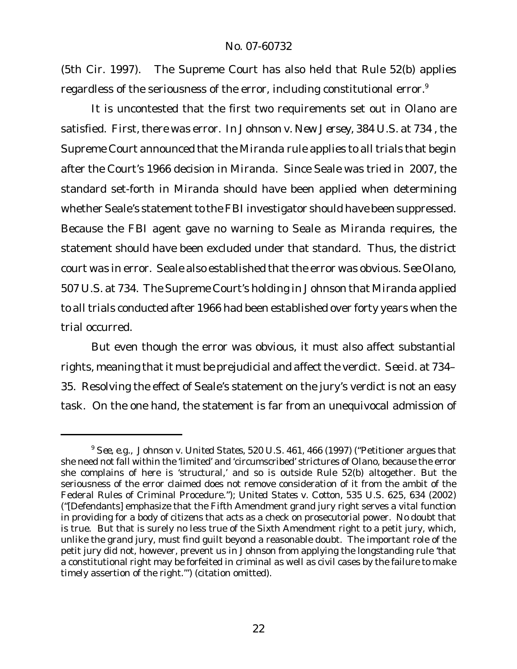(5th Cir. 1997). The Supreme Court has also held that Rule 52(b) applies regardless of the seriousness of the error, including constitutional error.<sup>9</sup>

It is uncontested that the first two requirements set out in *Olano* are satisfied. First, there was error. In *Johnson v. New Jersey*, 384 U.S. at 734 , the Supreme Court announced that the *Miranda* rule applies to all trials that begin after the Court's 1966 decision in *Miranda*. Since Seale was tried in 2007, the standard set-forth in *Miranda* should have been applied when determining whether Seale's statement to the FBI investigator should have been suppressed. Because the FBI agent gave no warning to Seale as *Miranda* requires, the statement should have been excluded under that standard. Thus, the district court was in error. Seale also established that the error was obvious. *See Olano*, 507 U.S. at 734. The Supreme Court's holding in *Johnson* that *Miranda* applied to all trials conducted after 1966 had been established over forty years when the trial occurred.

But even though the error was obvious, it must also affect substantial rights, meaning that it must be prejudicial and affect the verdict. See *id.* at 734– 35. Resolving the effect of Seale's statement on the jury's verdict is not an easy task. On the one hand, the statement is far from an unequivocal admission of

<sup>9</sup> *See, e.g., Johnson v. United States*, 520 U.S. 461, 466 (1997) ("Petitioner argues that she need not fall within the 'limited' and 'circumscribed' strictures of *Olano*, because the error she complains of here is 'structural,' and so is outside Rule 52(b) altogether. But the seriousness of the error claimed does not remove consideration of it from the ambit of the Federal Rules of Criminal Procedure."); *United States v. Cotton*, 535 U.S. 625, 634 (2002) ("[Defendants] emphasize that the Fifth Amendment grand jury right serves a vital function in providing for a body of citizens that acts as a check on prosecutorial power. No doubt that is true. But that is surely no less true of the Sixth Amendment right to a petit jury, which, unlike the grand jury, must find guilt beyond a reasonable doubt. The important role of the petit jury did not, however, prevent us in *Johnson* from applying the longstanding rule 'that a constitutional right may be forfeited in criminal as well as civil cases by the failure to make timely assertion of the right.'") (citation omitted).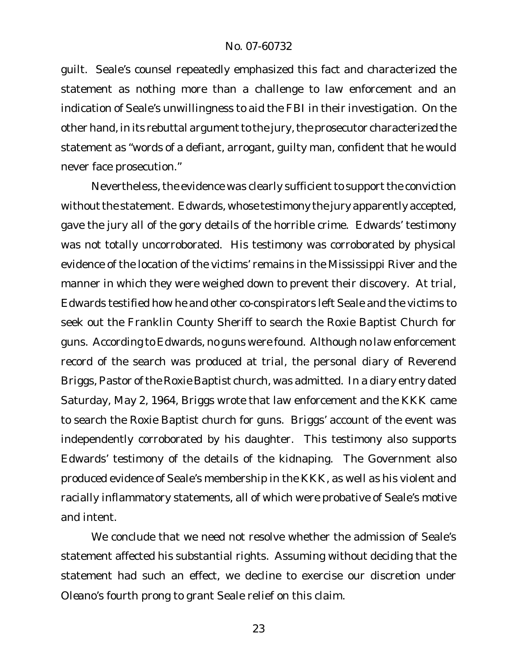guilt. Seale's counsel repeatedly emphasized this fact and characterized the statement as nothing more than a challenge to law enforcement and an indication of Seale's unwillingness to aid the FBI in their investigation. On the other hand, in its rebuttal argument to the jury, the prosecutor characterized the statement as "words of a defiant, arrogant, guilty man, confident that he would never face prosecution."

Nevertheless, the evidence was clearly sufficient to support the conviction without the statement. Edwards, whose testimony the jury apparently accepted, gave the jury all of the gory details of the horrible crime. Edwards' testimony was not totally uncorroborated. His testimony was corroborated by physical evidence of the location of the victims' remains in the Mississippi River and the manner in which they were weighed down to prevent their discovery. At trial, Edwards testified how he and other co-conspirators left Seale and the victims to seek out the Franklin County Sheriff to search the Roxie Baptist Church for guns. According to Edwards, no guns were found. Although no law enforcement record of the search was produced at trial, the personal diary of Reverend Briggs, Pastor of the Roxie Baptist church, was admitted. In a diary entry dated Saturday, May 2, 1964, Briggs wrote that law enforcement and the KKK came to search the Roxie Baptist church for guns. Briggs' account of the event was independently corroborated by his daughter. This testimony also supports Edwards' testimony of the details of the kidnaping. The Government also produced evidence of Seale's membership in the KKK, as well as his violent and racially inflammatory statements, all of which were probative of Seale's motive and intent.

We conclude that we need not resolve whether the admission of Seale's statement affected his substantial rights. Assuming without deciding that the statement had such an effect, we decline to exercise our discretion under *Oleano*'s fourth prong to grant Seale relief on this claim.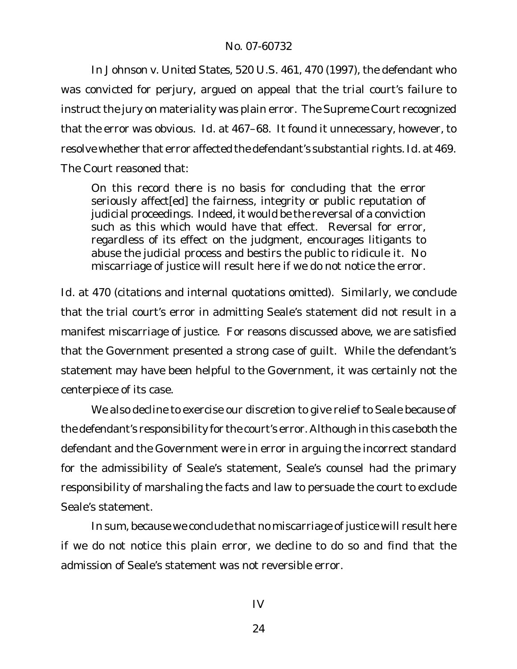In *Johnson v. United States*, 520 U.S. 461, 470 (1997), the defendant who was convicted for perjury, argued on appeal that the trial court's failure to instruct the jury on materiality was plain error. The Supreme Court recognized that the error was obvious. *Id.* at 467–68. It found it unnecessary, however, to resolve whether that error affected the defendant's substantial rights. *Id.* at 469. The Court reasoned that:

On this record there is no basis for concluding that the error seriously affect[ed] the fairness, integrity or public reputation of judicial proceedings. Indeed, it would be the reversal of a conviction such as this which would have that effect. Reversal for error, regardless of its effect on the judgment, encourages litigants to abuse the judicial process and bestirs the public to ridicule it. No miscarriage of justice will result here if we do not notice the error.

*Id.* at 470 (citations and internal quotations omitted). Similarly, we conclude that the trial court's error in admitting Seale's statement did not result in a manifest miscarriage of justice. For reasons discussed above, we are satisfied that the Government presented a strong case of guilt. While the defendant's statement may have been helpful to the Government, it was certainly not the centerpiece of its case.

We also decline to exercise our discretion to give relief to Seale because of the defendant's responsibility for the court's error. Although in this case both the defendant and the Government were in error in arguing the incorrect standard for the admissibility of Seale's statement, Seale's counsel had the primary responsibility of marshaling the facts and law to persuade the court to exclude Seale's statement.

In sum, because we conclude that no miscarriage of justice will result here if we do not notice this plain error, we decline to do so and find that the admission of Seale's statement was not reversible error.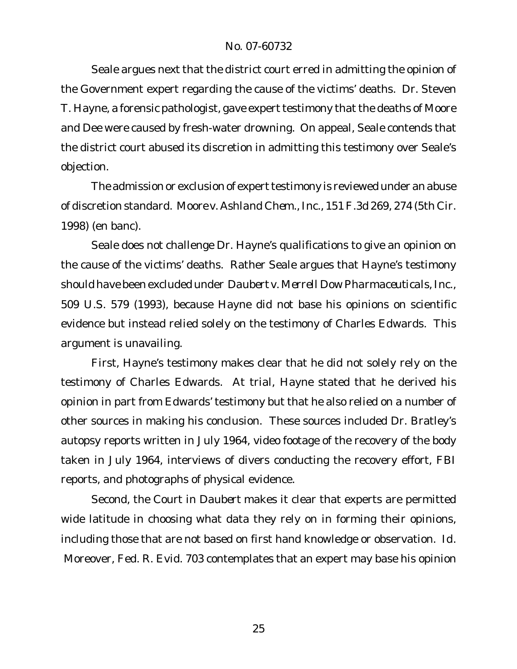Seale argues next that the district court erred in admitting the opinion of the Government expert regarding the cause of the victims' deaths. Dr. Steven T. Hayne, a forensic pathologist, gave expert testimony that the deaths of Moore and Dee were caused by fresh-water drowning. On appeal, Seale contends that the district court abused its discretion in admitting this testimony over Seale's objection.

The admission or exclusion of expert testimony is reviewed under an abuse of discretion standard. *Moore v. Ashland Chem., Inc.*, 151 F.3d 269, 274 (5th Cir. 1998) (en banc).

Seale does not challenge Dr. Hayne's qualifications to give an opinion on the cause of the victims' deaths. Rather Seale argues that Hayne's testimony should have been excluded under *Daubert v. Merrell Dow Pharmaceuticals, Inc.*, 509 U.S. 579 (1993), because Hayne did not base his opinions on scientific evidence but instead relied solely on the testimony of Charles Edwards. This argument is unavailing.

First, Hayne's testimony makes clear that he did not solely rely on the testimony of Charles Edwards. At trial, Hayne stated that he derived his opinion in part from Edwards' testimony but that he also relied on a number of other sources in making his conclusion. These sources included Dr. Bratley's autopsy reports written in July 1964, video footage of the recovery of the body taken in July 1964, interviews of divers conducting the recovery effort, FBI reports, and photographs of physical evidence.

Second, the Court in *Daubert* makes it clear that experts are permitted wide latitude in choosing what data they rely on in forming their opinions, including those that are not based on first hand knowledge or observation. *Id*. Moreover, Fed. R. Evid. 703 contemplates that an expert may base his opinion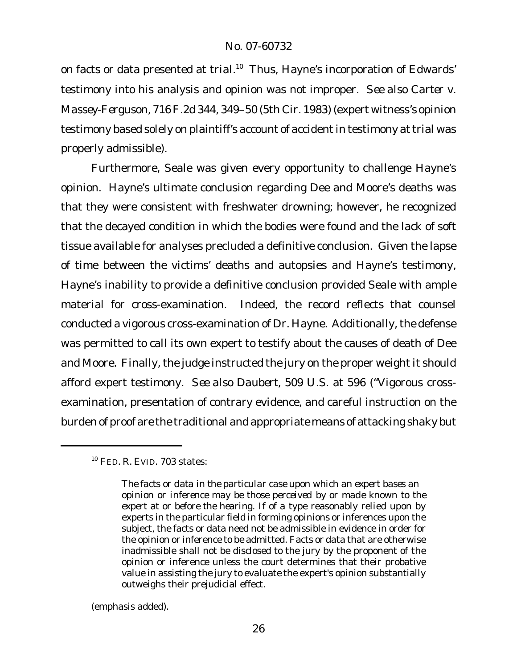on facts or data presented at trial.<sup>10</sup> Thus, Hayne's incorporation of Edwards' testimony into his analysis and opinion was not improper. *See also Carter v. Massey-Ferguson*, 716F.2d 344, 349–50 (5th Cir. 1983) (expert witness's opinion testimony based solely on plaintiff's account of accident in testimony at trial was properly admissible).

Furthermore, Seale was given every opportunity to challenge Hayne's opinion. Hayne's ultimate conclusion regarding Dee and Moore's deaths was that they were consistent with freshwater drowning; however, he recognized that the decayed condition in which the bodies were found and the lack of soft tissue available for analyses precluded a definitive conclusion. Given the lapse of time between the victims' deaths and autopsies and Hayne's testimony, Hayne's inability to provide a definitive conclusion provided Seale with ample material for cross-examination. Indeed, the record reflects that counsel conducted a vigorous cross-examination of Dr. Hayne. Additionally, the defense was permitted to call its own expert to testify about the causes of death of Dee and Moore. Finally, the judge instructed the jury on the proper weight it should afford expert testimony. *See also Daubert*, 509 U.S. at 596 ("Vigorous crossexamination, presentation of contrary evidence, and careful instruction on the burden of proof are the traditional and appropriate means of attacking shaky but

(emphasis added).

<sup>10</sup> FED. R. EVID. 703 states:

*The facts or data in the particular case upon which an expert bases an opinion or inference may be those perceived by or made known to the expert at or before the hearing.* If of a type reasonably relied upon by experts in the particular field in forming opinions or inferences upon the subject, the facts or data need not be admissible in evidence in order for the opinion or inference to be admitted. Facts or data that are otherwise inadmissible shall not be disclosed to the jury by the proponent of the opinion or inference unless the court determines that their probative value in assisting the jury to evaluate the expert's opinion substantially outweighs their prejudicial effect.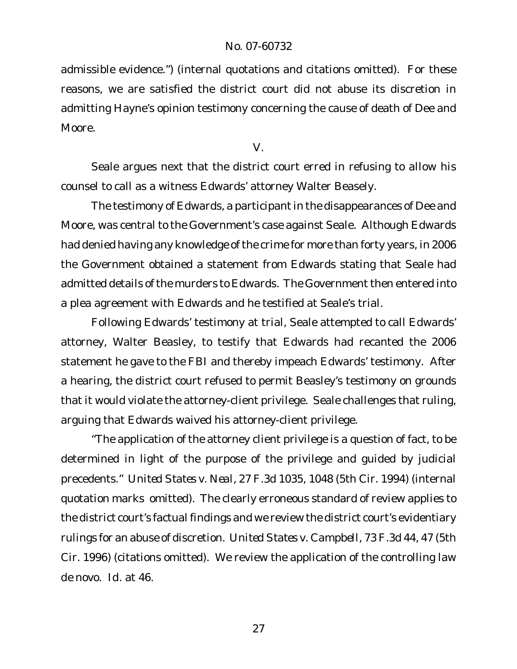admissible evidence.") (internal quotations and citations omitted). For these reasons, we are satisfied the district court did not abuse its discretion in admitting Hayne's opinion testimony concerning the cause of death of Dee and Moore.

V.

Seale argues next that the district court erred in refusing to allow his counsel to call as a witness Edwards' attorney Walter Beasely.

The testimony of Edwards, a participant in the disappearances of Dee and Moore, was central to the Government's case against Seale. Although Edwards had denied having any knowledge of the crime for more than forty years, in 2006 the Government obtained a statement from Edwards stating that Seale had admitted details of the murders to Edwards. The Government then entered into a plea agreement with Edwards and he testified at Seale's trial.

Following Edwards' testimony at trial, Seale attempted to call Edwards' attorney, Walter Beasley, to testify that Edwards had recanted the 2006 statement he gave to the FBI and thereby impeach Edwards' testimony. After a hearing, the district court refused to permit Beasley's testimony on grounds that it would violate the attorney-client privilege. Seale challenges that ruling, arguing that Edwards waived his attorney-client privilege.

"The application of the attorney client privilege is a question of fact, to be determined in light of the purpose of the privilege and guided by judicial precedents." *United States v. Neal*, 27 F.3d 1035, 1048 (5th Cir. 1994) (internal quotation marks omitted). The clearly erroneous standard of review applies to the district court's factual findings and we review the district court's evidentiary rulings for an abuse of discretion. *United States v. Campbell*, 73 F.3d 44, 47 (5th Cir. 1996) (citations omitted). We review the application of the controlling law *de novo*. *Id.* at 46.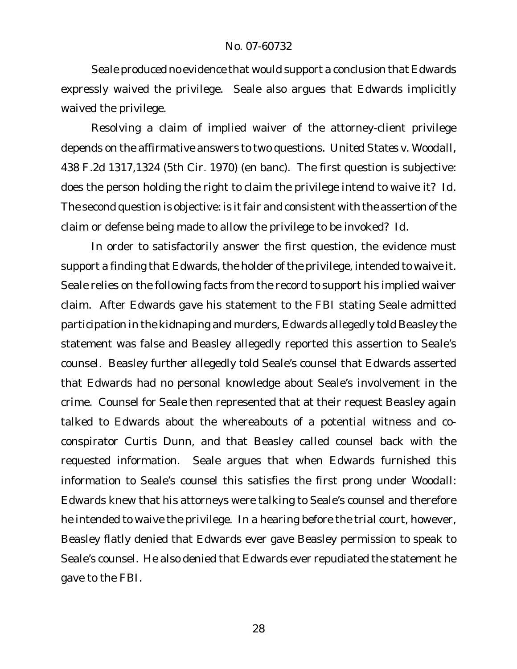Seale produced no evidence that would support a conclusion that Edwards expressly waived the privilege. Seale also argues that Edwards implicitly waived the privilege.

Resolving a claim of implied waiver of the attorney-client privilege depends on the affirmative answers to two questions. *United States v. Woodall*, 438 F.2d 1317,1324 (5th Cir. 1970) (en banc). The first question is subjective: does the person holding the right to claim the privilege intend to waive it? *Id.* The second question is objective: is it fair and consistent with the assertion of the claim or defense being made to allow the privilege to be invoked? *Id.* 

In order to satisfactorily answer the first question, the evidence must support a finding that Edwards, the holder of the privilege, intended to waive it. Seale relies on the following facts from the record to support his implied waiver claim. After Edwards gave his statement to the FBI stating Seale admitted participation in the kidnaping and murders, Edwards allegedly told Beasley the statement was false and Beasley allegedly reported this assertion to Seale's counsel. Beasley further allegedly told Seale's counsel that Edwards asserted that Edwards had no personal knowledge about Seale's involvement in the crime. Counsel for Seale then represented that at their request Beasley again talked to Edwards about the whereabouts of a potential witness and coconspirator Curtis Dunn, and that Beasley called counsel back with the requested information. Seale argues that when Edwards furnished this information to Seale's counsel this satisfies the first prong under *Woodall*: Edwards knew that his attorneys were talking to Seale's counsel and therefore he intended to waive the privilege. In a hearing before the trial court, however, Beasley flatly denied that Edwards ever gave Beasley permission to speak to Seale's counsel. He also denied that Edwards ever repudiated the statement he gave to the FBI.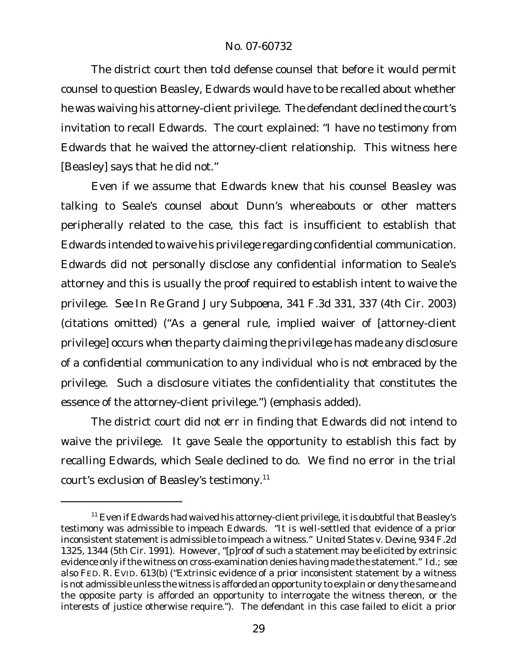The district court then told defense counsel that before it would permit counsel to question Beasley, Edwards would have to be recalled about whether he was waiving his attorney-client privilege. The defendant declined the court's invitation to recall Edwards. The court explained: "I have no testimony from Edwards that he waived the attorney-client relationship. This witness here [Beasley] says that he did not."

Even if we assume that Edwards knew that his counsel Beasley was talking to Seale's counsel about Dunn's whereabouts or other matters peripherally related to the case, this fact is insufficient to establish that Edwards intended to waive his privilege regarding confidential communication. Edwards did not personally disclose any confidential information to Seale's attorney and this is usually the proof required to establish intent to waive the privilege. *See In Re Grand Jury Subpoena*, 341 F.3d 331, 337 (4th Cir. 2003) (citations omitted) ("As a general rule, implied waiver of [attorney-client privilege] occurs *when the party claiming the privilege has made any disclosure of a confidential communication* to any individual who is not embraced by the privilege. Such a disclosure vitiates the confidentiality that constitutes the essence of the attorney-client privilege.") (emphasis added).

The district court did not err in finding that Edwards did not intend to waive the privilege. It gave Seale the opportunity to establish this fact by recalling Edwards, which Seale declined to do. We find no error in the trial court's exclusion of Beasley's testimony.11

<sup>&</sup>lt;sup>11</sup> Even if Edwards had waived his attorney-client privilege, it is doubtful that Beasley's testimony was admissible to impeach Edwards. "It is well-settled that evidence of a prior inconsistent statement is admissible to impeach a witness." *United States v. Devine*, 934 F.2d 1325, 1344 (5th Cir. 1991). However, "[p]roof of such a statement may be elicited by extrinsic evidence only ifthe witness on cross-examination denies having made the statement." *Id.*; *see also* FED. R. EVID. 613(b) ("Extrinsic evidence of a prior inconsistent statement by a witness is not admissible unless the witness is afforded an opportunity to explain or deny the same and the opposite party is afforded an opportunity to interrogate the witness thereon, or the interests of justice otherwise require."). The defendant in this case failed to elicit a prior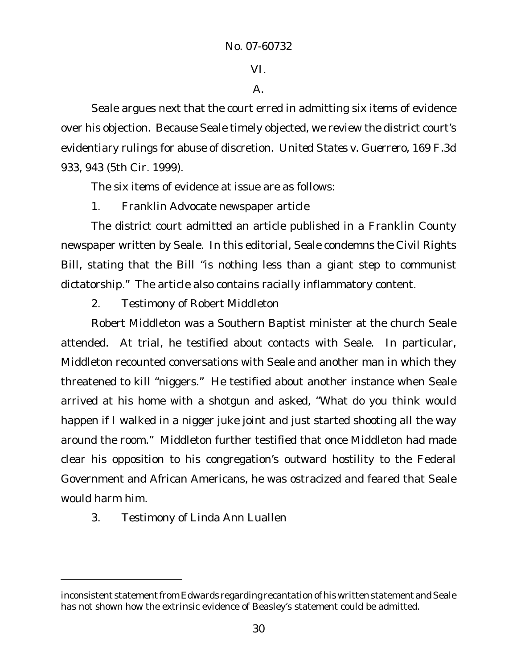VI.

## A.

Seale argues next that the court erred in admitting six items of evidence over his objection. Because Seale timely objected, we review the district court's evidentiary rulings for abuse of discretion. *United States v. Guerrero*, 169 F.3d 933, 943 (5th Cir. 1999).

The six items of evidence at issue are as follows:

1. Franklin Advocate newspaper article

The district court admitted an article published in a Franklin County newspaper written by Seale. In this editorial, Seale condemns the Civil Rights Bill, stating that the Bill "is nothing less than a giant step to communist dictatorship." The article also contains racially inflammatory content.

2. Testimony of Robert Middleton

Robert Middleton was a Southern Baptist minister at the church Seale attended. At trial, he testified about contacts with Seale. In particular, Middleton recounted conversations with Seale and another man in which they threatened to kill "niggers." He testified about another instance when Seale arrived at his home with a shotgun and asked, "What do you think would happen if I walked in a nigger juke joint and just started shooting all the way around the room." Middleton further testified that once Middleton had made clear his opposition to his congregation's outward hostility to the Federal Government and African Americans, he was ostracized and feared that Seale would harm him.

3. Testimony of Linda Ann Luallen

inconsistent statement from Edwards regarding recantation of his written statement and Seale has not shown how the extrinsic evidence of Beasley's statement could be admitted.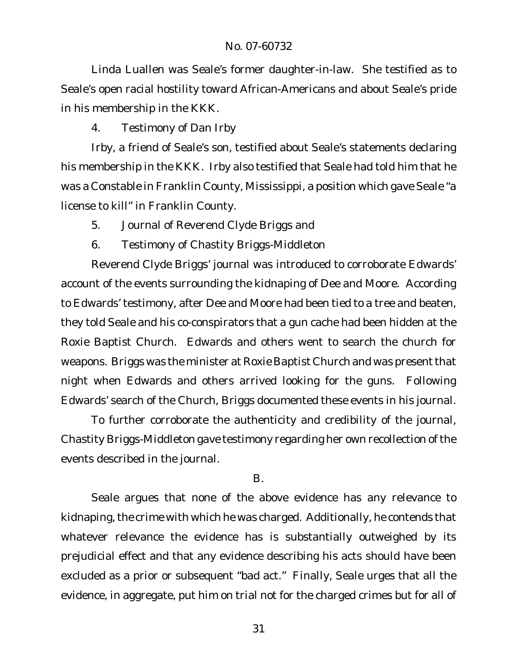Linda Luallen was Seale's former daughter-in-law. She testified as to Seale's open racial hostility toward African-Americans and about Seale's pride in his membership in the KKK.

4. Testimony of Dan Irby

Irby, a friend of Seale's son, testified about Seale's statements declaring his membership in the KKK. Irby also testified that Seale had told him that he was a Constable in Franklin County, Mississippi, a position which gave Seale "a license to kill" in Franklin County.

- 5. Journal of Reverend Clyde Briggs and
- 6. Testimony of Chastity Briggs-Middleton

Reverend Clyde Briggs' journal was introduced to corroborate Edwards' account of the events surrounding the kidnaping of Dee and Moore. According to Edwards' testimony, after Dee and Moore had been tied to a tree and beaten, they told Seale and his co-conspirators that a gun cache had been hidden at the Roxie Baptist Church. Edwards and others went to search the church for weapons. Briggs was the minister at Roxie Baptist Church and was present that night when Edwards and others arrived looking for the guns. Following Edwards' search of the Church, Briggs documented these events in his journal.

To further corroborate the authenticity and credibility of the journal, Chastity Briggs-Middleton gave testimony regarding her own recollection of the events described in the journal.

## B.

Seale argues that none of the above evidence has any relevance to kidnaping, the crime with which he was charged. Additionally, he contends that whatever relevance the evidence has is substantially outweighed by its prejudicial effect and that any evidence describing his acts should have been excluded as a prior or subsequent "bad act." Finally, Seale urges that all the evidence, in aggregate, put him on trial not for the charged crimes but for all of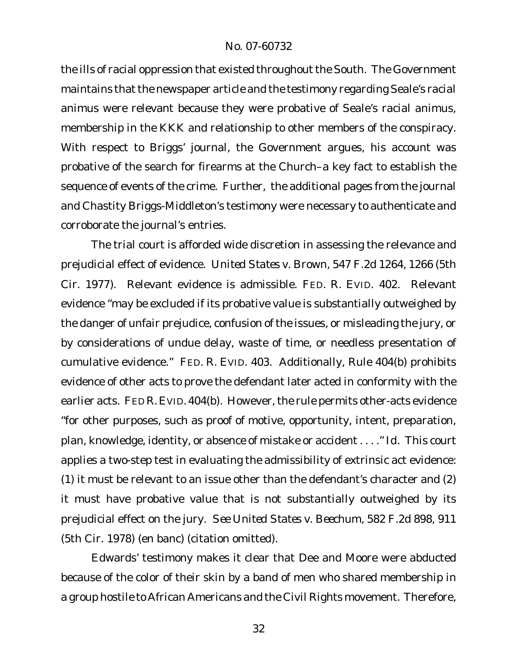the ills of racial oppression that existed throughout the South. The Government maintains that the newspaper article and the testimony regarding Seale's racial animus were relevant because they were probative of Seale's racial animus, membership in the KKK and relationship to other members of the conspiracy. With respect to Briggs' journal, the Government argues, his account was probative of the search for firearms at the Church–a key fact to establish the sequence of events of the crime. Further, the additional pages from the journal and Chastity Briggs-Middleton's testimony were necessary to authenticate and corroborate the journal's entries.

The trial court is afforded wide discretion in assessing the relevance and prejudicial effect of evidence. *United States v. Brown*, 547 F.2d 1264, 1266 (5th Cir. 1977). Relevant evidence is admissible. FED. R. EVID. 402. Relevant evidence "may be excluded if its probative value is substantially outweighed by the danger of unfair prejudice, confusion of the issues, or misleading the jury, or by considerations of undue delay, waste of time, or needless presentation of cumulative evidence." FED. R. EVID. 403. Additionally, Rule 404(b) prohibits evidence of other acts to prove the defendant later acted in conformity with the earlier acts. FED R. EVID. 404(b). However, the rule permits other-acts evidence "for other purposes, such as proof of motive, opportunity, intent, preparation, plan, knowledge, identity, or absence of mistake or accident . . . ." *Id.* This court applies a two-step test in evaluating the admissibility of extrinsic act evidence: (1) it must be relevant to an issue other than the defendant's character and (2) it must have probative value that is not substantially outweighed by its prejudicial effect on the jury. *See United States v. Beechum*, 582 F.2d 898, 911 (5th Cir. 1978) (en banc) (citation omitted).

Edwards' testimony makes it clear that Dee and Moore were abducted because of the color of their skin by a band of men who shared membership in a group hostile to African Americans and the Civil Rights movement. Therefore,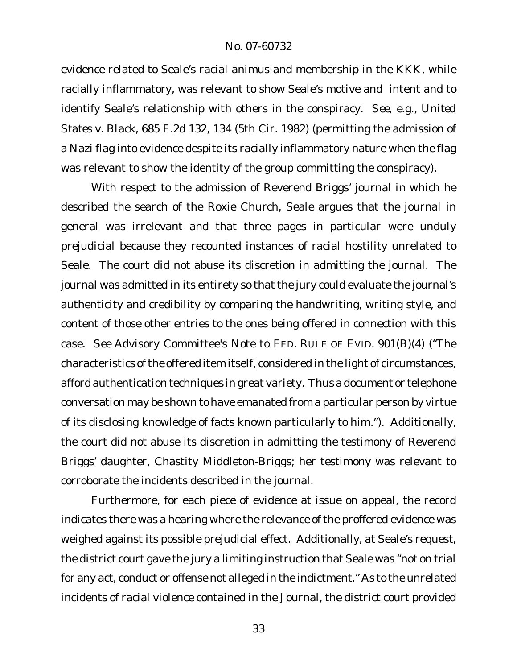evidence related to Seale's racial animus and membership in the KKK, while racially inflammatory, was relevant to show Seale's motive and intent and to identify Seale's relationship with others in the conspiracy. *See, e.g.*, *United States v. Black*, 685 F.2d 132, 134 (5th Cir. 1982) (permitting the admission of a Nazi flag into evidence despite its racially inflammatory nature when the flag was relevant to show the identity of the group committing the conspiracy).

With respect to the admission of Reverend Briggs' journal in which he described the search of the Roxie Church, Seale argues that the journal in general was irrelevant and that three pages in particular were unduly prejudicial because they recounted instances of racial hostility unrelated to Seale. The court did not abuse its discretion in admitting the journal. The journal was admitted in its entirety so that the jury could evaluate the journal's authenticity and credibility by comparing the handwriting, writing style, and content of those other entries to the ones being offered in connection with this case. *See* Advisory Committee's Note to FED. RULE OF EVID. 901(B)(4) ("The characteristics of the offered item itself, considered in the light of circumstances, afford authentication techniques in great variety. Thus a document or telephone conversation may be shown to have emanated from a particular person by virtue of its disclosing knowledge of facts known particularly to him."). Additionally, the court did not abuse its discretion in admitting the testimony of Reverend Briggs' daughter, Chastity Middleton-Briggs; her testimony was relevant to corroborate the incidents described in the journal.

Furthermore, for each piece of evidence at issue on appeal, the record indicates there was a hearing where the relevance of the proffered evidence was weighed against its possible prejudicial effect. Additionally, at Seale's request, the district court gave the jury a limiting instruction that Seale was "not on trial for any act, conduct or offense not alleged in the indictment." As to the unrelated incidents of racial violence contained in the Journal, the district court provided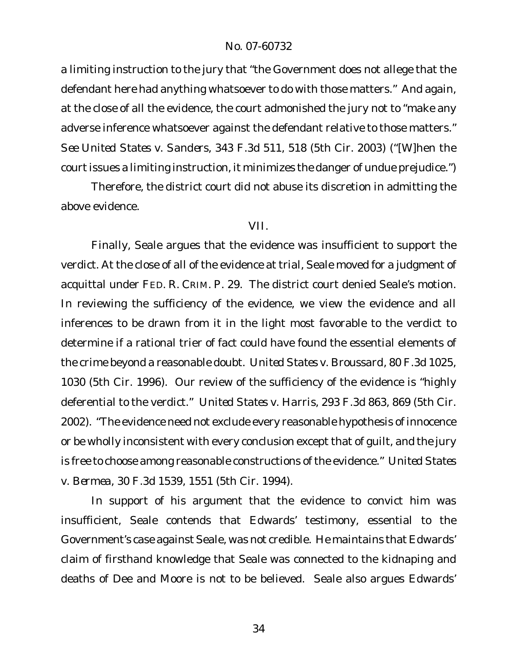a limiting instruction to the jury that "the Government does not allege that the defendant here had anything whatsoever to do with those matters." And again, at the close of all the evidence, the court admonished the jury not to "make any adverse inference whatsoever against the defendant relative to those matters." *See United States v. Sanders*, 343 F.3d 511, 518 (5th Cir. 2003) ("[W]hen the court issues a limiting instruction, it minimizes the danger of undue prejudice.")

Therefore, the district court did not abuse its discretion in admitting the above evidence.

#### VII.

Finally, Seale argues that the evidence was insufficient to support the verdict. At the close of all of the evidence at trial, Seale moved for a judgment of acquittal under FED. R. CRIM. P. 29. The district court denied Seale's motion. In reviewing the sufficiency of the evidence, we view the evidence and all inferences to be drawn from it in the light most favorable to the verdict to determine if a rational trier of fact could have found the essential elements of the crime beyond a reasonable doubt. *United States v. Broussard*, 80 F.3d 1025, 1030 (5th Cir. 1996). Our review of the sufficiency of the evidence is "highly deferential to the verdict." *United States v. Harris*, 293 F.3d 863, 869 (5th Cir. 2002). "The evidence need not exclude every reasonable hypothesis of innocence or be wholly inconsistent with every conclusion except that of guilt, and the jury is free to choose among reasonable constructions of the evidence." *United States v. Bermea*, 30 F.3d 1539, 1551 (5th Cir. 1994).

In support of his argument that the evidence to convict him was insufficient, Seale contends that Edwards' testimony, essential to the Government's case against Seale, was not credible. He maintains that Edwards' claim of firsthand knowledge that Seale was connected to the kidnaping and deaths of Dee and Moore is not to be believed. Seale also argues Edwards'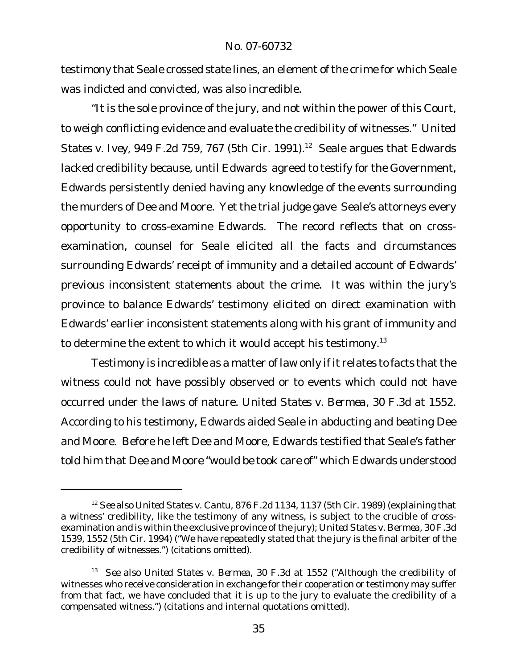testimony that Seale crossed state lines, an element of the crime for which Seale was indicted and convicted, was also incredible.

"It is the sole province of the jury, and not within the power of this Court, to weigh conflicting evidence and evaluate the credibility of witnesses." *United States v. Ivey*, 949 F.2d 759, 767 (5th Cir. 1991).<sup>12</sup> Seale argues that Edwards lacked credibility because, until Edwards agreed to testify for the Government, Edwards persistently denied having any knowledge of the events surrounding the murders of Dee and Moore. Yet the trial judge gave Seale's attorneys every opportunity to cross-examine Edwards. The record reflects that on crossexamination, counsel for Seale elicited all the facts and circumstances surrounding Edwards' receipt of immunity and a detailed account of Edwards' previous inconsistent statements about the crime. It was within the jury's province to balance Edwards' testimony elicited on direct examination with Edwards' earlier inconsistent statements along with his grant of immunity and to determine the extent to which it would accept his testimony.<sup>13</sup>

Testimony is incredible as a matter of law only if it relates to facts that the witness could not have possibly observed or to events which could not have occurred under the laws of nature. *United States v. Bermea*, 30 F.3d at 1552. According to his testimony, Edwards aided Seale in abducting and beating Dee and Moore. Before he left Dee and Moore, Edwards testified that Seale's father told him that Dee and Moore "would be took care of" which Edwards understood

<sup>12</sup> *See also United States v. Cantu*, 876 F.2d 1134, 1137 (5th Cir. 1989) (explaining that a witness' credibility, like the testimony of any witness, is subject to the crucible of crossexamination and is within the exclusive province of the jury); *United States v. Bermea*, 30 F.3d 1539, 1552 (5th Cir. 1994) ("We have repeatedly stated that the jury is the final arbiter of the credibility of witnesses.") (citations omitted).

<sup>13</sup> *See also United States v. Bermea*, 30 F.3d at 1552 ("Although the credibility of witnesses who receive consideration in exchange for their cooperation or testimony may suffer from that fact, we have concluded that it is up to the jury to evaluate the credibility of a compensated witness.") (citations and internal quotations omitted).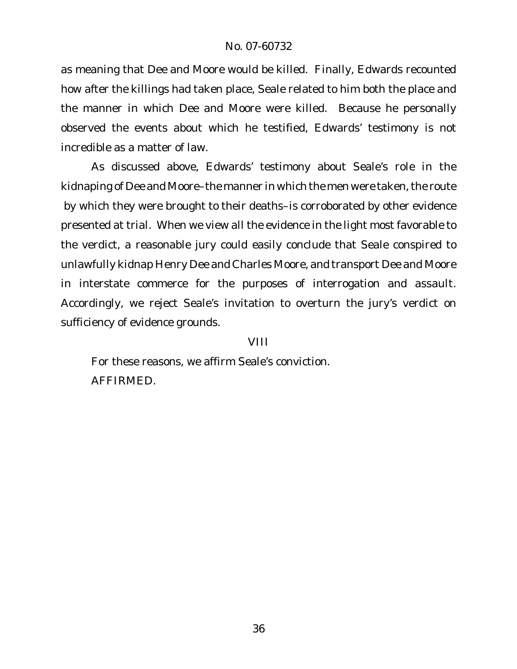as meaning that Dee and Moore would be killed. Finally, Edwards recounted how after the killings had taken place, Seale related to him both the place and the manner in which Dee and Moore were killed. Because he personally observed the events about which he testified, Edwards' testimony is not incredible as a matter of law.

As discussed above, Edwards' testimony about Seale's role in the kidnaping of Dee and Moore–the manner in which the men were taken, the route by which they were brought to their deaths–is corroborated by other evidence presented at trial. When we view all the evidence in the light most favorable to the verdict, a reasonable jury could easily conclude that Seale conspired to unlawfully kidnap Henry Dee and Charles Moore, and transport Dee and Moore in interstate commerce for the purposes of interrogation and assault. Accordingly, we reject Seale's invitation to overturn the jury's verdict on sufficiency of evidence grounds.

VIII

For these reasons, we affirm Seale's conviction. AFFIRMED.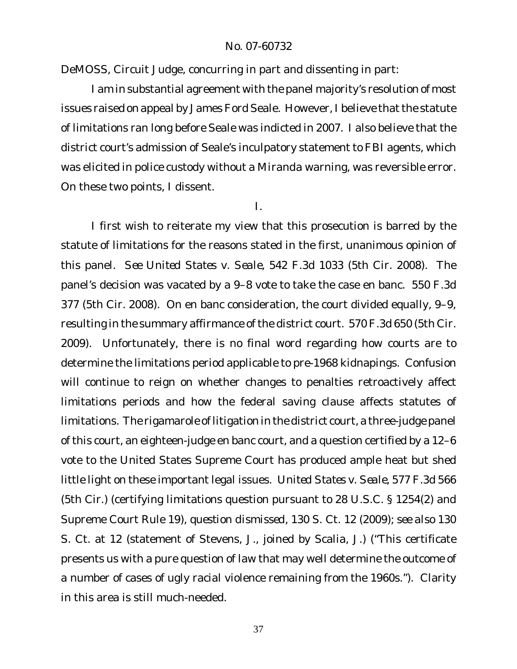DeMOSS, Circuit Judge, concurring in part and dissenting in part:

I am in substantial agreement with the panel majority's resolution of most issues raised on appeal by James Ford Seale. However, I believe that the statute of limitations ran long before Seale was indicted in 2007. I also believe that the district court's admission of Seale's inculpatory statement to FBI agents, which was elicited in police custody without a *Miranda* warning, was reversible error. On these two points, I dissent.

I.

I first wish to reiterate my view that this prosecution is barred by the statute of limitations for the reasons stated in the first, unanimous opinion of this panel. *See United States v. Seale*, 542 F.3d 1033 (5th Cir. 2008). The panel's decision was vacated by a 9–8 vote to take the case en banc. 550 F.3d 377 (5th Cir. 2008). On en banc consideration, the court divided equally, 9–9, resulting in the summary affirmance of the district court. 570 F.3d 650 (5th Cir. 2009). Unfortunately, there is no final word regarding how courts are to determine the limitations period applicable to pre-1968 kidnapings. Confusion will continue to reign on whether changes to penalties retroactively affect limitations periods and how the federal saving clause affects statutes of limitations. The rigamarole of litigation in the district court, a three-judge panel of this court, an eighteen-judge en banc court, and a question certified by a 12–6 vote to the United States Supreme Court has produced ample heat but shed little light on these important legal issues. *United States v. Seale*, 577 F.3d 566 (5th Cir.) (certifying limitations question pursuant to 28 U.S.C. § 1254(2) and Supreme Court Rule 19), *question dismissed*, 130 S. Ct. 12 (2009); *see also* 130 S. Ct. at 12 (statement of Stevens, J., joined by Scalia, J.) ("This certificate presents us with a pure question of law that may well determine the outcome of a number of cases of ugly racial violence remaining from the 1960s."). Clarity in this area is still much-needed.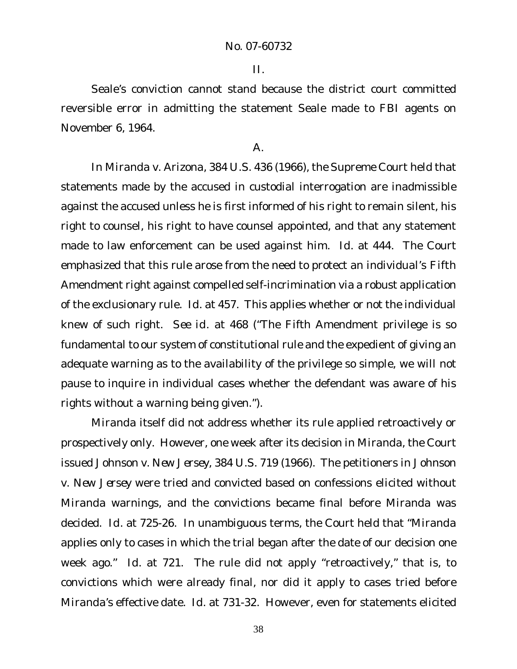II.

Seale's conviction cannot stand because the district court committed reversible error in admitting the statement Seale made to FBI agents on November 6, 1964.

### A.

In *Miranda v. Arizona*, 384 U.S. 436 (1966), the Supreme Court held that statements made by the accused in custodial interrogation are inadmissible against the accused unless he is first informed of his right to remain silent, his right to counsel, his right to have counsel appointed, and that any statement made to law enforcement can be used against him. *Id.* at 444. The Court emphasized that this rule arose from the need to protect an individual's Fifth Amendment right against compelled self-incrimination via a robust application of the exclusionary rule. *Id.* at 457. This applies whether or not the individual knew of such right. *See id.* at 468 ("The Fifth Amendment privilege is so fundamental to our system of constitutional rule and the expedient of giving an adequate warning as to the availability of the privilege so simple, we will not pause to inquire in individual cases whether the defendant was aware of his rights without a warning being given.").

*Miranda* itself did not address whether its rule applied retroactively or prospectively only. However, one week after its decision in *Miranda*, the Court issued *Johnson v. New Jersey*, 384 U.S. 719 (1966). The petitioners in *Johnson v. New Jersey* were tried and convicted based on confessions elicited without *Miranda* warnings, and the convictions became final before *Miranda* was decided. *Id.* at 725-26. In unambiguous terms, the Court held that "*Miranda* applies only to cases in which the trial began after the date of our decision one week ago." *Id.* at 721. The rule did not apply "retroactively," that is, to convictions which were already final, nor did it apply to cases tried before *Miranda*'s effective date. *Id.* at 731-32. However, even for statements elicited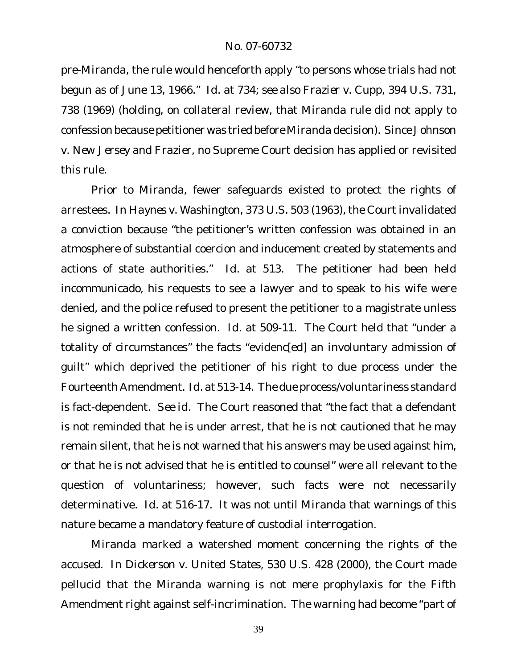pre-*Miranda*, the rule would henceforth apply "to persons whose trials had not begun as of June 13, 1966." *Id.* at 734; *see also Frazier v. Cupp*, 394 U.S. 731, 738 (1969) (holding, on collateral review, that *Miranda* rule did not apply to confession because petitioner was tried before *Miranda* decision). Since *Johnson v. New Jersey* and *Frazier*, no Supreme Court decision has applied or revisited this rule.

Prior to *Miranda*, fewer safeguards existed to protect the rights of arrestees. In *Haynes v. Washington*, 373 U.S. 503 (1963), the Court invalidated a conviction because "the petitioner's written confession was obtained in an atmosphere of substantial coercion and inducement created by statements and actions of state authorities." *Id.* at 513. The petitioner had been held incommunicado, his requests to see a lawyer and to speak to his wife were denied, and the police refused to present the petitioner to a magistrate unless he signed a written confession. *Id.* at 509-11. The Court held that "under a totality of circumstances" the facts "evidenc[ed] an involuntary admission of guilt" which deprived the petitioner of his right to due process under the Fourteenth Amendment. *Id.* at 513-14. The due process/voluntariness standard is fact-dependent. *See id.* The Court reasoned that "the fact that a defendant is not reminded that he is under arrest, that he is not cautioned that he may remain silent, that he is not warned that his answers may be used against him, or that he is not advised that he is entitled to counsel" were all relevant to the question of voluntariness; however, such facts were not necessarily determinative. *Id.* at 516-17. It was not until *Miranda* that warnings of this nature became a mandatory feature of custodial interrogation.

*Miranda* marked a watershed moment concerning the rights of the accused. In *Dickerson v. United States*, 530 U.S. 428 (2000), the Court made pellucid that the *Miranda* warning is not mere prophylaxis for the Fifth Amendment right against self-incrimination. The warning had become "part of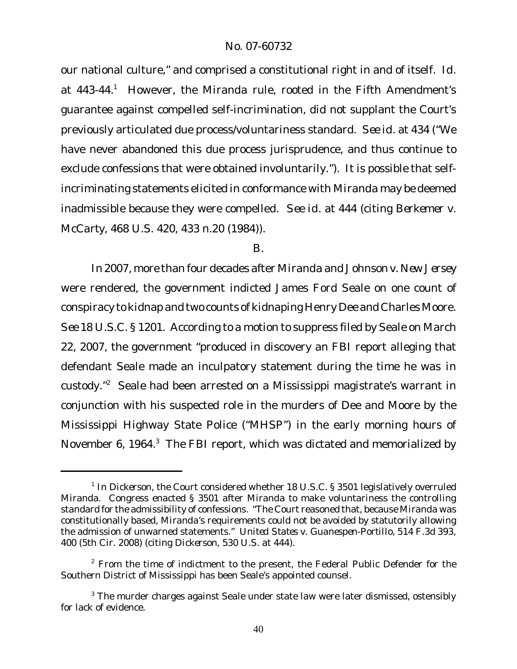our national culture," and comprised a constitutional right in and of itself. *Id.* at 443-44.<sup>1</sup> However, the *Miranda* rule, rooted in the Fifth Amendment's guarantee against compelled self-incrimination, did not supplant the Court's previously articulated due process/voluntariness standard. *See id.* at 434 ("We have never abandoned this due process jurisprudence, and thus continue to exclude confessions that were obtained involuntarily."). It is possible that selfincriminating statements elicited in conformance with *Miranda* may be deemed inadmissible because they were compelled. *See id.* at 444 (citing *Berkemer v. McCarty*, 468 U.S. 420, 433 n.20 (1984)).

#### B.

In 2007, more than four decades after *Miranda* and *Johnson v. New Jersey* were rendered, the government indicted James Ford Seale on one count of conspiracy to kidnap and two counts of kidnaping Henry Dee and Charles Moore. *See* 18 U.S.C. § 1201. According to a motion to suppress filed by Seale on March 22, 2007, the government "produced in discovery an FBI report alleging that defendant Seale made an inculpatory statement during the time he was in custody."<sup>2</sup> Seale had been arrested on a Mississippi magistrate's warrant in conjunction with his suspected role in the murders of Dee and Moore by the Mississippi Highway State Police ("MHSP") in the early morning hours of November 6, 1964.<sup>3</sup> The FBI report, which was dictated and memorialized by

<sup>&</sup>lt;sup>1</sup> In Dickerson, the Court considered whether 18 U.S.C. § 3501 legislatively overruled *Miranda*. Congress enacted § 3501 after *Miranda* to make voluntariness the controlling standard for the admissibility of confessions. "The Court reasoned that, because *Miranda* was constitutionally based, *Miranda*'s requirements could not be avoided by statutorily allowing the admission of unwarned statements." *United States v. Guanespen-Portillo*, 514 F.3d 393, 400 (5th Cir. 2008) (citing *Dickerson*, 530 U.S. at 444).

 $2$  From the time of indictment to the present, the Federal Public Defender for the Southern District of Mississippi has been Seale's appointed counsel.

 $3$  The murder charges against Seale under state law were later dismissed, ostensibly for lack of evidence.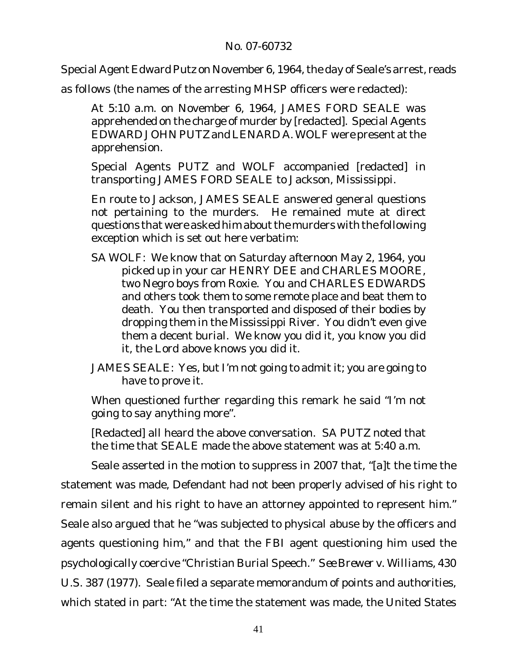Special Agent Edward Putz on November 6, 1964, the day of Seale's arrest, reads

as follows (the names of the arresting MHSP officers were redacted):

At 5:10 a.m. on November 6, 1964, JAMES FORD SEALE was apprehended on the charge of murder by [redacted]. Special Agents EDWARD JOHN PUTZ and LENARD A. WOLF were present at the apprehension.

Special Agents PUTZ and WOLF accompanied [redacted] in transporting JAMES FORD SEALE to Jackson, Mississippi.

En route to Jackson, JAMES SEALE answered general questions not pertaining to the murders. He remained mute at direct questions that were asked him about the murders with the following exception which is set out here verbatim:

SA WOLF: We know that on Saturday afternoon May 2, 1964, you picked up in your car HENRY DEE and CHARLES MOORE, two Negro boys from Roxie. You and CHARLES EDWARDS and others took them to some remote place and beat them to death. You then transported and disposed of their bodies by dropping them in the Mississippi River. You didn't even give them a decent burial. We know you did it, you know you did it, the Lord above knows you did it.

JAMES SEALE: Yes, but I'm not going to admit it; you are going to have to prove it.

When questioned further regarding this remark he said "I'm not going to say anything more".

[Redacted] all heard the above conversation. SA PUTZ noted that the time that SEALE made the above statement was at 5:40 a.m.

Seale asserted in the motion to suppress in 2007 that, "[a]t the time the statement was made, Defendant had not been properly advised of his right to remain silent and his right to have an attorney appointed to represent him." Seale also argued that he "was subjected to physical abuse by the officers and agents questioning him," and that the FBI agent questioning him used the psychologically coercive "Christian Burial Speech." *See Brewer v. Williams*, 430 U.S. 387 (1977). Seale filed a separate memorandum of points and authorities, which stated in part: "At the time the statement was made, the United States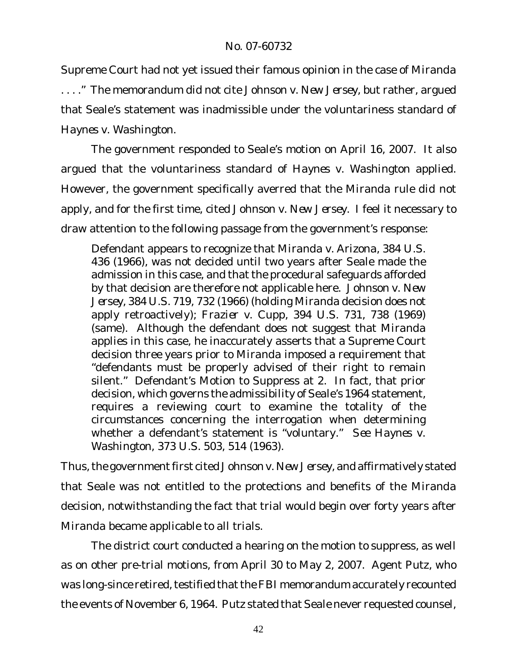Supreme Court had not yet issued their famous opinion in the case of *Miranda*

. . . ." The memorandum did not cite *Johnson v. New Jersey*, but rather, argued that Seale's statement was inadmissible under the voluntariness standard of *Haynes v. Washington*.

The government responded to Seale's motion on April 16, 2007. It also argued that the voluntariness standard of *Haynes v. Washington* applied. However, the government specifically averred that the *Miranda* rule did not apply, and for the first time, cited *Johnson v. New Jersey*. I feel it necessary to draw attention to the following passage from the government's response:

Defendant appears to recognize that *Miranda v. Arizona,* 384 U.S. 436 (1966), was not decided until two years after Seale made the admission in this case, and that the procedural safeguards afforded by that decision are therefore not applicable here. *Johnson v. New Jersey*, 384 U.S. 719, 732 (1966) (holding *Miranda* decision does not apply retroactively); *Frazier v. Cupp*, 394 U.S. 731, 738 (1969) (same). Although the defendant does not suggest that *Miranda* applies in this case, he inaccurately asserts that a Supreme Court decision three years prior to *Miranda* imposed a requirement that "defendants must be properly advised of their right to remain silent." Defendant's Motion to Suppress at 2. In fact, that prior decision, which governs the admissibility of Seale's 1964 statement, requires a reviewing court to examine the totality of the circumstances concerning the interrogation when determining whether a defendant's statement is "voluntary." *See Haynes v. Washington*, 373 U.S. 503, 514 (1963).

Thus,the governmentfirst cited *Johnson v. New Jersey*, and affirmatively stated that Seale was not entitled to the protections and benefits of the *Miranda* decision, notwithstanding the fact that trial would begin over forty years after *Miranda* became applicable to all trials.

The district court conducted a hearing on the motion to suppress, as well as on other pre-trial motions, from April 30 to May 2, 2007. Agent Putz, who was long-since retired, testified that the FBI memorandum accurately recounted the events of November 6, 1964. Putz stated that Seale never requested counsel,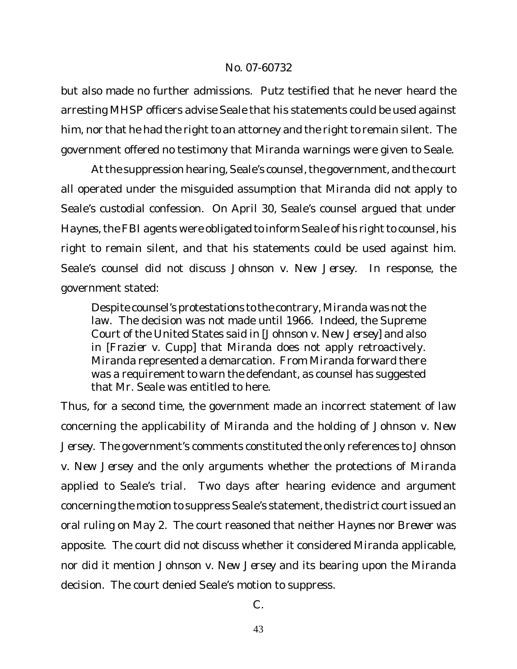but also made no further admissions. Putz testified that he never heard the arresting MHSP officers advise Seale that his statements could be used against him, nor that he had the right to an attorney and the right to remain silent. The government offered no testimony that *Miranda* warnings were given to Seale.

At the suppression hearing, Seale's counsel, the government, and the court all operated under the misguided assumption that *Miranda* did not apply to Seale's custodial confession. On April 30, Seale's counsel argued that under *Haynes*, the FBI agents were obligated to inform Seale of his right to counsel, his right to remain silent, and that his statements could be used against him. Seale's counsel did not discuss *Johnson v. New Jersey*. In response, the government stated:

Despite counsel's protestations to the contrary, Miranda was not the law. The decision was not made until 1966. Indeed, the Supreme Court of the United States said in [*Johnson v. New Jersey*] and also in [*Frazier v. Cupp*] that *Miranda* does not apply retroactively. *Miranda* represented a demarcation. From *Miranda* forward there was a requirement to warn the defendant, as counsel has suggested that Mr. Seale was entitled to here.

Thus, for a second time, the government made an incorrect statement of law concerning the applicability of *Miranda* and the holding of *Johnson v. New Jersey*. The government's comments constituted the only references to *Johnson v. New Jersey* and the only arguments whether the protections of *Miranda* applied to Seale's trial. Two days after hearing evidence and argument concerning the motion to suppress Seale's statement, the district court issued an oral ruling on May 2. The court reasoned that neither *Haynes* nor *Brewer* was apposite. The court did not discuss whether it considered *Miranda* applicable, nor did it mention *Johnson v. New Jersey* and its bearing upon the *Miranda* decision. The court denied Seale's motion to suppress.

C.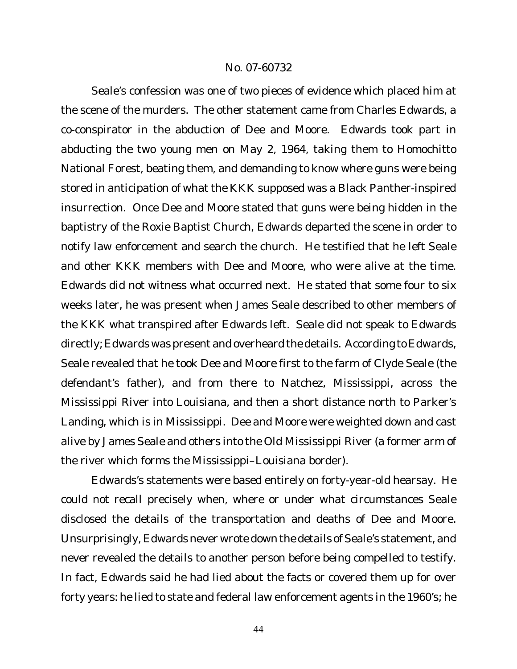Seale's confession was one of two pieces of evidence which placed him at the scene of the murders. The other statement came from Charles Edwards, a co-conspirator in the abduction of Dee and Moore. Edwards took part in abducting the two young men on May 2, 1964, taking them to Homochitto National Forest, beating them, and demanding to know where guns were being stored in anticipation of what the KKK supposed was a Black Panther-inspired insurrection. Once Dee and Moore stated that guns were being hidden in the baptistry of the Roxie Baptist Church, Edwards departed the scene in order to notify law enforcement and search the church. He testified that he left Seale and other KKK members with Dee and Moore, who were alive at the time. Edwards did not witness what occurred next. He stated that some four to six weeks later, he was present when James Seale described to other members of the KKK what transpired after Edwards left. Seale did not speak to Edwards directly; Edwards was present and overheard the details. According to Edwards, Seale revealed that he took Dee and Moore first to the farm of Clyde Seale (the defendant's father), and from there to Natchez, Mississippi, across the Mississippi River into Louisiana, and then a short distance north to Parker's Landing, which is in Mississippi. Dee and Moore were weighted down and cast alive by James Seale and others into the Old Mississippi River (a former arm of the river which forms the Mississippi–Louisiana border).

Edwards's statements were based entirely on forty-year-old hearsay. He could not recall precisely when, where or under what circumstances Seale disclosed the details of the transportation and deaths of Dee and Moore. Unsurprisingly, Edwards never wrote down the details of Seale's statement, and never revealed the details to another person before being compelled to testify. In fact, Edwards said he had lied about the facts or covered them up for over forty years: he lied to state and federal law enforcement agents in the 1960's; he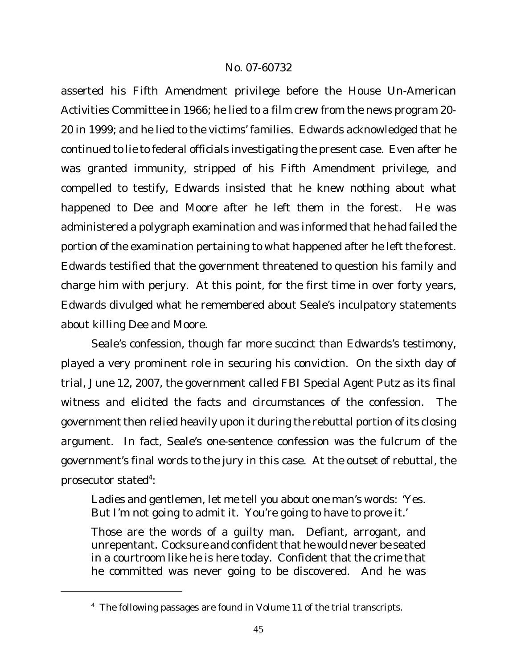asserted his Fifth Amendment privilege before the House Un-American Activities Committee in 1966; he lied to a film crew from the news program 20- 20 in 1999; and he lied to the victims' families. Edwards acknowledged that he continued to lie to federal officials investigating the present case. Even after he was granted immunity, stripped of his Fifth Amendment privilege, and compelled to testify, Edwards insisted that he knew nothing about what happened to Dee and Moore after he left them in the forest. He was administered a polygraph examination and was informed that he had failed the portion of the examination pertaining to what happened after he left the forest. Edwards testified that the government threatened to question his family and charge him with perjury. At this point, for the first time in over forty years, Edwards divulged what he remembered about Seale's inculpatory statements about killing Dee and Moore.

Seale's confession, though far more succinct than Edwards's testimony, played a very prominent role in securing his conviction. On the sixth day of trial, June 12, 2007, the government called FBI Special Agent Putz as its final witness and elicited the facts and circumstances of the confession. The government then relied heavily upon it during the rebuttal portion of its closing argument. In fact, Seale's one-sentence confession was the fulcrum of the government's final words to the jury in this case. At the outset of rebuttal, the prosecutor stated<sup>4</sup>:

Ladies and gentlemen, let me tell you about one man's words: 'Yes. But I'm not going to admit it. You're going to have to prove it.'

Those are the words of a guilty man. Defiant, arrogant, and unrepentant. Cocksure and confident that he would never be seated in a courtroom like he is here today. Confident that the crime that he committed was never going to be discovered. And he was

<sup>&</sup>lt;sup>4</sup> The following passages are found in Volume 11 of the trial transcripts.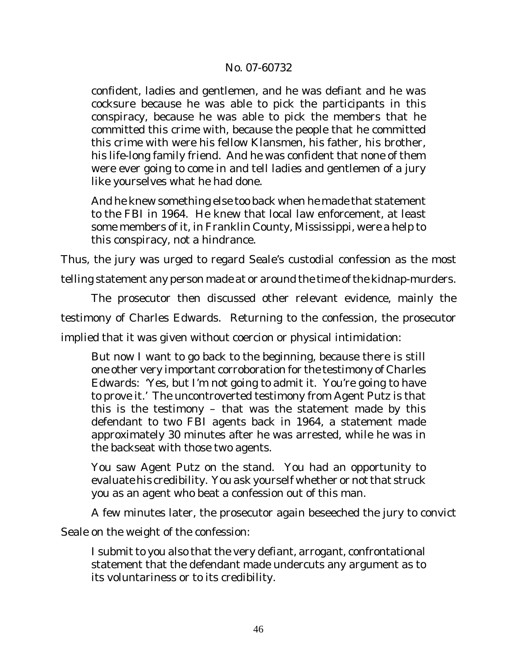confident, ladies and gentlemen, and he was defiant and he was cocksure because he was able to pick the participants in this conspiracy, because he was able to pick the members that he committed this crime with, because the people that he committed this crime with were his fellow Klansmen, his father, his brother, his life-long family friend. And he was confident that none of them were ever going to come in and tell ladies and gentlemen of a jury like yourselves what he had done.

And he knew something else too back when he made that statement to the FBI in 1964. He knew that local law enforcement, at least some members of it, in Franklin County, Mississippi, were a help to this conspiracy, not a hindrance.

Thus, the jury was urged to regard Seale's custodial confession as the most

telling statement any person made at or around the time of the kidnap-murders.

The prosecutor then discussed other relevant evidence, mainly the

testimony of Charles Edwards. Returning to the confession, the prosecutor

implied that it was given without coercion or physical intimidation:

But now I want to go back to the beginning, because there is still one other very important corroboration for the testimony of Charles Edwards: 'Yes, but I'm not going to admit it. You're going to have to prove it.' The uncontroverted testimony from Agent Putz is that this is the testimony – that was the statement made by this defendant to two FBI agents back in 1964, a statement made approximately 30 minutes after he was arrested, while he was in the backseat with those two agents.

You saw Agent Putz on the stand. You had an opportunity to evaluate his credibility. You ask yourself whether or not that struck you as an agent who beat a confession out of this man.

A few minutes later, the prosecutor again beseeched the jury to convict

Seale on the weight of the confession:

I submit to you also that the very defiant, arrogant, confrontational statement that the defendant made undercuts any argument as to its voluntariness or to its credibility.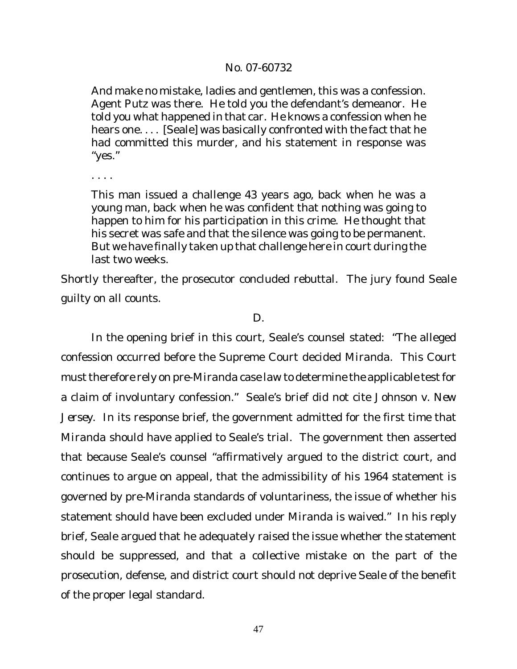And make no mistake, ladies and gentlemen, this was a confession. Agent Putz was there. He told you the defendant's demeanor. He told you what happened in that car. He knows a confession when he hears one. . . . [Seale] was basically confronted with the fact that he had committed this murder, and his statement in response was "yes."

. . . .

This man issued a challenge 43 years ago, back when he was a young man, back when he was confident that nothing was going to happen to him for his participation in this crime. He thought that his secret was safe and that the silence was going to be permanent. But we have finally taken up that challenge here in court during the last two weeks.

Shortly thereafter, the prosecutor concluded rebuttal. The jury found Seale guilty on all counts.

#### D.

In the opening brief in this court, Seale's counsel stated: "The alleged confession occurred before the Supreme Court decided *Miranda*. This Court must therefore rely on pre-Miranda case law to determine the applicable test for a claim of involuntary confession." Seale's brief did not cite *Johnson v. New Jersey*. In its response brief, the government admitted for the first time that *Miranda* should have applied to Seale's trial. The government then asserted that because Seale's counsel "affirmatively argued to the district court, and continues to argue on appeal, that the admissibility of his 1964 statement is governed by pre-*Miranda* standards of voluntariness, the issue of whether his statement should have been excluded under *Miranda* is waived." In his reply brief, Seale argued that he adequately raised the issue whether the statement should be suppressed, and that a collective mistake on the part of the prosecution, defense, and district court should not deprive Seale of the benefit of the proper legal standard.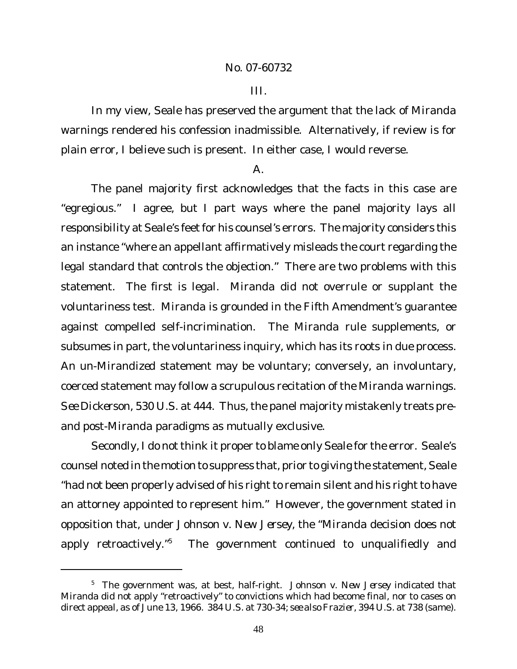#### III.

In my view, Seale has preserved the argument that the lack of *Miranda* warnings rendered his confession inadmissible. Alternatively, if review is for plain error, I believe such is present. In either case, I would reverse.

#### A.

The panel majority first acknowledges that the facts in this case are "egregious." I agree, but I part ways where the panel majority lays all responsibility at Seale's feet for his counsel's errors. The majority considers this an instance "where an appellant affirmatively misleads the court regarding the legal standard that controls the objection." There are two problems with this statement. The first is legal. *Miranda* did not overrule or supplant the voluntariness test. *Miranda* is grounded in the Fifth Amendment's guarantee against compelled self-incrimination. The *Miranda* rule supplements, or subsumes in part, the voluntariness inquiry, which has its roots in due process. An un-*Mirandized* statement may be voluntary; conversely, an involuntary, coerced statement may follow a scrupulous recitation of the *Miranda* warnings. *See Dickerson*, 530 U.S. at 444. Thus, the panel majority mistakenly treats preand post-*Miranda* paradigms as mutually exclusive.

Secondly, I do not think it proper to blame only Seale for the error. Seale's counsel noted in the motion to suppress that, prior to giving the statement, Seale "had not been properly advised of his right to remain silent and his right to have an attorney appointed to represent him." However, the government stated in opposition that, under *Johnson v. New Jersey*, the "*Miranda* decision does not apply retroactively."<sup>5</sup> The government continued to unqualifiedly and

<sup>5</sup> The government was, at best, half-right. *Johnson v. New Jersey* indicated that *Miranda* did not apply "retroactively" to convictions which had become final, nor to cases on direct appeal, as of June 13, 1966. 384 U.S. at 730-34; *see also Frazier*, 394 U.S. at 738 (same).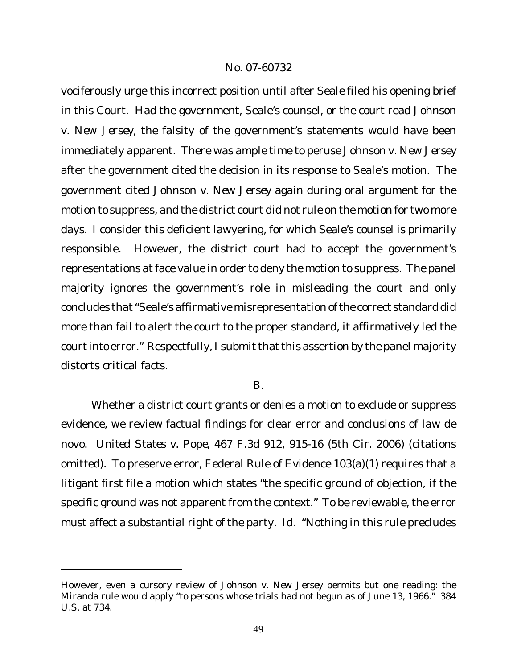vociferously urge this incorrect position until after Seale filed his opening brief in this Court. Had the government, Seale's counsel, or the court read *Johnson v. New Jersey*, the falsity of the government's statements would have been immediately apparent. There was ample time to peruse *Johnson v. New Jersey* after the government cited the decision in its response to Seale's motion. The government cited *Johnson v. New Jersey* again during oral argument for the motion to suppress, and the district court did not rule on the motion for two more days. I consider this deficient lawyering, for which Seale's counsel is primarily responsible. However, the district court had to accept the government's representations at face value in order to deny the motion to suppress. The panel majority ignores the government's role in misleading the court and only concludes that"Seale's affirmative misrepresentation of the correct standard did more than fail to alert the court to the proper standard, it affirmatively led the courtinto error." Respectfully, I submit that this assertion by the panel majority distorts critical facts.

B.

Whether a district court grants or denies a motion to exclude or suppress evidence, we review factual findings for clear error and conclusions of law de novo. *United States v. Pope*, 467 F.3d 912, 915-16 (5th Cir. 2006) (citations omitted). To preserve error, Federal Rule of Evidence 103(a)(1) requires that a litigant first file a motion which states "the specific ground of objection, if the specific ground was not apparent from the context." To be reviewable, the error must affect a substantial right of the party. *Id.* "Nothing in this rule precludes

However, even a cursory review of *Johnson v. New Jersey* permits but one reading: the *Miranda* rule would apply "to persons whose trials had not begun as of June 13, 1966." 384 U.S. at 734.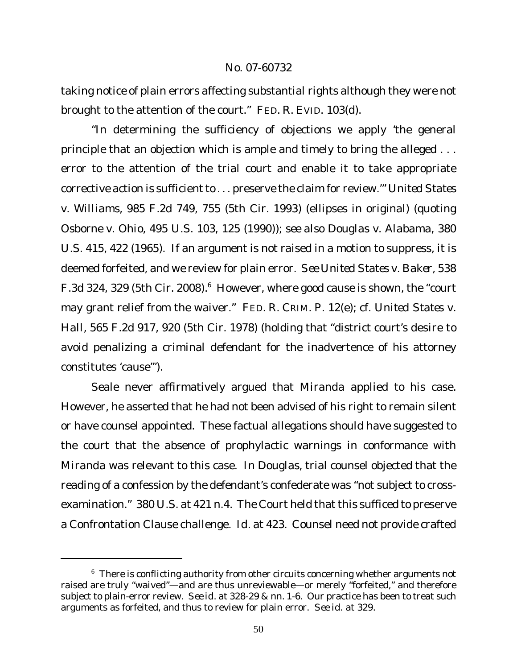taking notice of plain errors affecting substantial rights although they were not brought to the attention of the court." FED. R. EVID. 103(d).

"In determining the sufficiency of objections we apply 'the general principle that an objection which is ample and timely to bring the alleged . . . error to the attention of the trial court and enable it to take appropriate corrective action is sufficient to . . . preserve the claim for review." United States *v. Williams*, 985 F.2d 749, 755 (5th Cir. 1993) (ellipses in original) (quoting *Osborne v. Ohio*, 495 U.S. 103, 125 (1990)); *see also Douglas v. Alabama*, 380 U.S. 415, 422 (1965). If an argument is not raised in a motion to suppress, it is deemed forfeited, and we review for plain error. *See United States v. Baker*, 538 F.3d 324, 329 (5th Cir. 2008).<sup>6</sup> However, where good cause is shown, the "court may grant relief from the waiver." FED. R. CRIM. P. 12(e); *cf. United States v. Hall*, 565 F.2d 917, 920 (5th Cir. 1978) (holding that "district court's desire to avoid penalizing a criminal defendant for the inadvertence of his attorney constitutes 'cause'").

Seale never affirmatively argued that *Miranda* applied to his case. However, he asserted that he had not been advised of his right to remain silent or have counsel appointed. These factual allegations should have suggested to the court that the absence of prophylactic warnings in conformance with *Miranda* was relevant to this case. In *Douglas*, trial counsel objected that the reading of a confession by the defendant's confederate was "not subject to crossexamination." 380 U.S. at 421 n.4. The Court held that this sufficed to preserve a Confrontation Clause challenge. *Id.* at 423. Counsel need not provide crafted

 $6$  There is conflicting authority from other circuits concerning whether arguments not raised are truly "waived"—and are thus unreviewable—or merely "forfeited," and therefore subject to plain-error review. *See id.* at 328-29 & nn. 1-6. Our practice has been to treat such arguments as forfeited, and thus to review for plain error. *See id.* at 329.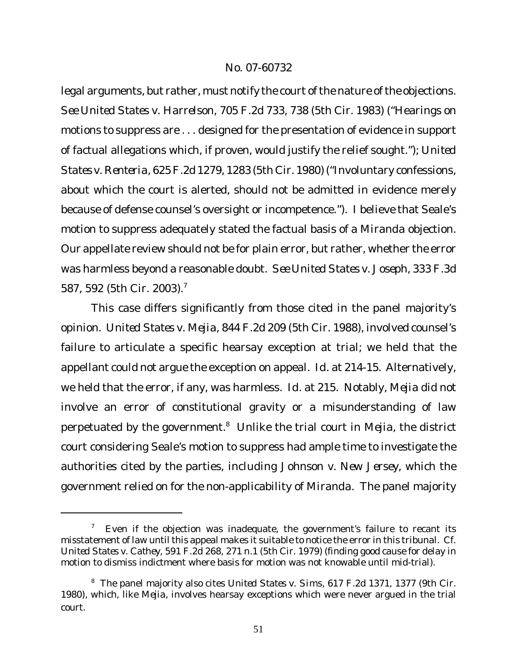legal arguments, but rather, must notify the court of the nature of the objections. *See United States v. Harrelson*, 705 F.2d 733, 738 (5th Cir. 1983) ("Hearings on motions to suppress are . . . designed for the presentation of evidence in support of factual allegations which, if proven, would justify the relief sought."); *United States v. Renteria*, 625F.2d 1279, 1283 (5th Cir. 1980) ("Involuntary confessions, about which the court is alerted, should not be admitted in evidence merely because of defense counsel's oversight or incompetence."). I believe that Seale's motion to suppress adequately stated the factual basis of a *Miranda* objection. Our appellate review should not be for plain error, but rather, whether the error was harmless beyond a reasonable doubt. *See United States v. Joseph*, 333 F.3d 587, 592 (5th Cir. 2003).<sup>7</sup>

This case differs significantly from those cited in the panel majority's opinion. *United States v. Mejia*, 844 F.2d 209 (5th Cir. 1988), involved counsel's failure to articulate a specific hearsay exception at trial; we held that the appellant could not argue the exception on appeal. *Id.* at 214-15. Alternatively, we held that the error, if any, was harmless. *Id.* at 215. Notably, *Mejia* did not involve an error of constitutional gravity or a misunderstanding of law perpetuated by the government.<sup>8</sup> Unlike the trial court in *Mejia*, the district court considering Seale's motion to suppress had ample time to investigate the authorities cited by the parties, including *Johnson v. New Jersey*, which the government relied on for the non-applicability of *Miranda*. The panel majority

<sup>&</sup>lt;sup>7</sup> Even if the objection was inadequate, the government's failure to recant its misstatement of law until this appeal makes it suitable to notice the error in this tribunal. Cf. *United States v. Cathey*, 591 F.2d 268, 271 n.1 (5th Cir. 1979) (finding good cause for delay in motion to dismiss indictment where basis for motion was not knowable until mid-trial).

<sup>8</sup> The panel majority also cites *United States v. Sims*, 617 F.2d 1371, 1377 (9th Cir. 1980), which, like *Mejia*, involves hearsay exceptions which were never argued in the trial court.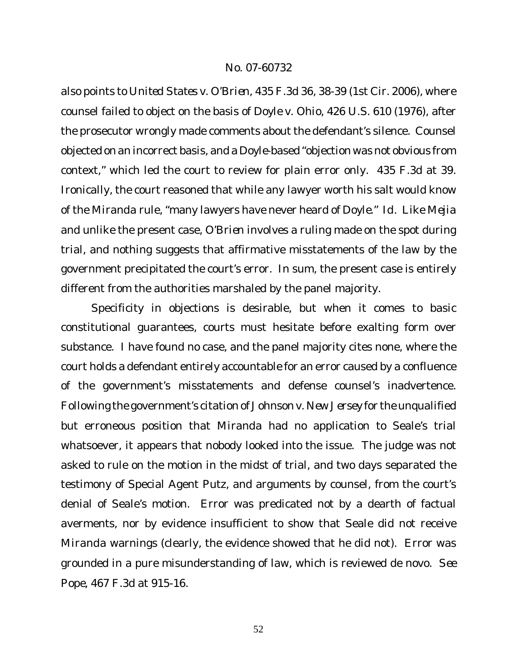also points to *United States v. O'Brien*, 435 F.3d 36, 38-39 (1st Cir. 2006), where counsel failed to object on the basis of *Doyle v. Ohio*, 426 U.S. 610 (1976), after the prosecutor wrongly made comments about the defendant's silence. Counsel objected on an incorrect basis, and a *Doyle*-based "objection was not obvious from context," which led the court to review for plain error only. 435 F.3d at 39. Ironically, the court reasoned that while any lawyer worth his salt would know of the *Miranda* rule, "many lawyers have never heard of *Doyle*." *Id.* Like *Mejia* and unlike the present case, *O'Brien* involves a ruling made on the spot during trial, and nothing suggests that affirmative misstatements of the law by the government precipitated the court's error. In sum, the present case is entirely different from the authorities marshaled by the panel majority.

Specificity in objections is desirable, but when it comes to basic constitutional guarantees, courts must hesitate before exalting form over substance. I have found no case, and the panel majority cites none, where the court holds a defendant entirely accountable for an error caused by a confluence of the government's misstatements and defense counsel's inadvertence. Following the government's citation of *Johnson v. New Jersey* for the unqualified but erroneous position that *Miranda* had no application to Seale's trial whatsoever, it appears that nobody looked into the issue. The judge was not asked to rule on the motion in the midst of trial, and two days separated the testimony of Special Agent Putz, and arguments by counsel, from the court's denial of Seale's motion. Error was predicated not by a dearth of factual averments, nor by evidence insufficient to show that Seale did not receive *Miranda* warnings (clearly, the evidence showed that he did not). Error was grounded in a pure misunderstanding of law, which is reviewed de novo. *See Pope*, 467 F.3d at 915-16.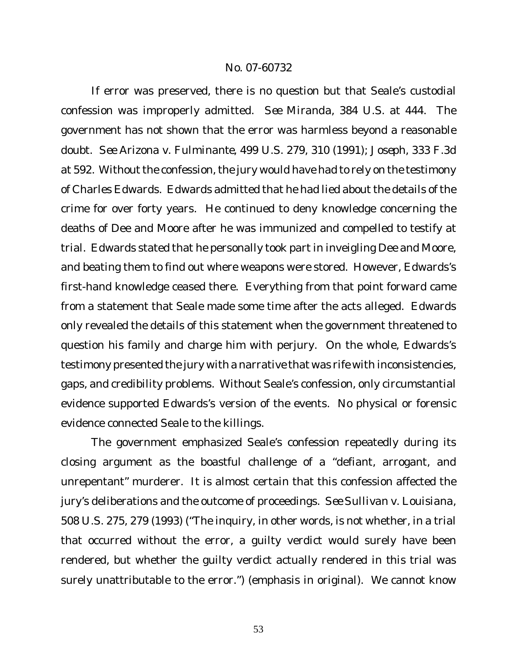If error was preserved, there is no question but that Seale's custodial confession was improperly admitted. *See Miranda*, 384 U.S. at 444. The government has not shown that the error was harmless beyond a reasonable doubt. *See Arizona v. Fulminante*, 499 U.S. 279, 310 (1991); *Joseph*, 333 F.3d at 592. Without the confession, the jury would have had to rely on the testimony of Charles Edwards. Edwards admitted that he had lied about the details of the crime for over forty years. He continued to deny knowledge concerning the deaths of Dee and Moore after he was immunized and compelled to testify at trial. Edwards stated that he personally took part in inveigling Dee and Moore, and beating them to find out where weapons were stored. However, Edwards's first-hand knowledge ceased there. Everything from that point forward came from a statement that Seale made some time after the acts alleged. Edwards only revealed the details of this statement when the government threatened to question his family and charge him with perjury. On the whole, Edwards's testimony presented the jury with a narrative that was rife with inconsistencies, gaps, and credibility problems. Without Seale's confession, only circumstantial evidence supported Edwards's version of the events. No physical or forensic evidence connected Seale to the killings.

The government emphasized Seale's confession repeatedly during its closing argument as the boastful challenge of a "defiant, arrogant, and unrepentant" murderer. It is almost certain that this confession affected the jury's deliberations and the outcome of proceedings. *See Sullivan v. Louisiana*, 508 U.S. 275, 279 (1993) ("The inquiry, in other words, is not whether, in a trial that occurred without the error, a guilty verdict would surely have been rendered, but whether the guilty verdict actually rendered in *this* trial was surely unattributable to the error.") (emphasis in original). We cannot know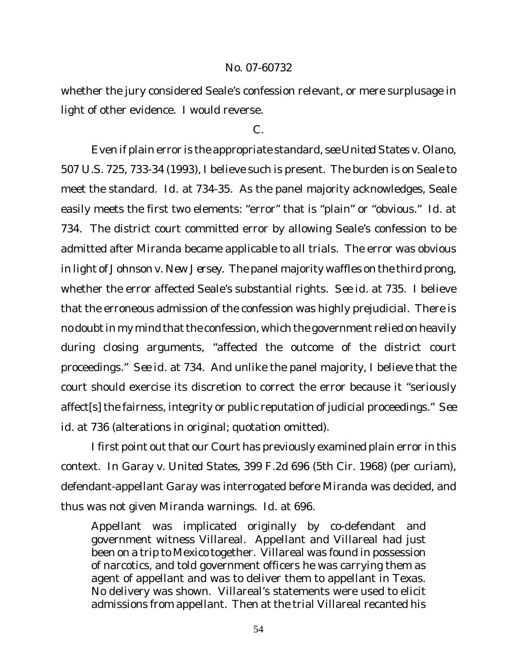whether the jury considered Seale's confession relevant, or mere surplusage in light of other evidence. I would reverse.

## C.

Even if plain error is the appropriate standard, *see United States v. Olano*, 507 U.S. 725, 733-34 (1993), I believe such is present. The burden is on Seale to meet the standard. *Id.* at 734-35. As the panel majority acknowledges, Seale easily meets the first two elements: "error" that is "plain" or "obvious." *Id.* at 734. The district court committed error by allowing Seale's confession to be admitted after *Miranda* became applicable to all trials. The error was obvious in light of *Johnson v. New Jersey*. The panel majority waffles on the third prong, whether the error affected Seale's substantial rights. *See id.* at 735. I believe that the erroneous admission of the confession was highly prejudicial. There is no doubt in my mind that the confession, which the government relied on heavily during closing arguments, "affected the outcome of the district court proceedings." *See id.* at 734. And unlike the panel majority, I believe that the court should exercise its discretion to correct the error because it "seriously affect[s] the fairness, integrity or public reputation of judicial proceedings." *See id.* at 736 (alterations in original; quotation omitted).

I first point out that our Court has previously examined plain error in this context. In *Garay v. United States*, 399 F.2d 696 (5th Cir. 1968) (per curiam), defendant-appellant Garay was interrogated before *Miranda* was decided, and thus was not given *Miranda* warnings. *Id.* at 696.

Appellant was implicated originally by co-defendant and government witness Villareal. Appellant and Villareal had just been on a trip to Mexico together. Villareal was found in possession of narcotics, and told government officers he was carrying them as agent of appellant and was to deliver them to appellant in Texas. No delivery was shown. Villareal's statements were used to elicit admissions from appellant. Then at the trial Villareal recanted his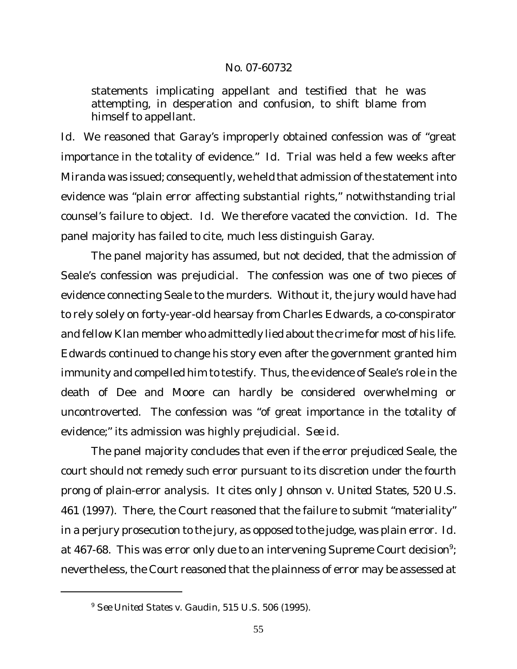statements implicating appellant and testified that he was attempting, in desperation and confusion, to shift blame from himself to appellant.

*Id.* We reasoned that Garay's improperly obtained confession was of "great importance in the totality of evidence." *Id.* Trial was held a few weeks after *Miranda* was issued; consequently, we held that admission of the statement into evidence was "plain error affecting substantial rights," notwithstanding trial counsel's failure to object. *Id.* We therefore vacated the conviction. *Id.* The panel majority has failed to cite, much less distinguish *Garay*.

The panel majority has assumed, but not decided, that the admission of Seale's confession was prejudicial. The confession was one of two pieces of evidence connecting Seale to the murders. Without it, the jury would have had to rely solely on forty-year-old hearsay from Charles Edwards, a co-conspirator and fellow Klan member who admittedly lied about the crime for most of his life. Edwards continued to change his story even after the government granted him immunity and compelled him to testify. Thus, the evidence of Seale's role in the death of Dee and Moore can hardly be considered overwhelming or uncontroverted. The confession was "of great importance in the totality of evidence;" its admission was highly prejudicial. *See id.*

The panel majority concludes that even if the error prejudiced Seale, the court should not remedy such error pursuant to its discretion under the fourth prong of plain-error analysis. It cites only *Johnson v. United States*, 520 U.S. 461 (1997). There, the Court reasoned that the failure to submit "materiality" in a perjury prosecution to the jury, as opposed to the judge, was plain error. *Id.* at 467-68. This was error only due to an intervening Supreme Court decision $^{\circ};$ nevertheless, the Court reasoned that the plainness of error may be assessed at

<sup>9</sup> *See United States v. Gaudin*, 515 U.S. 506 (1995).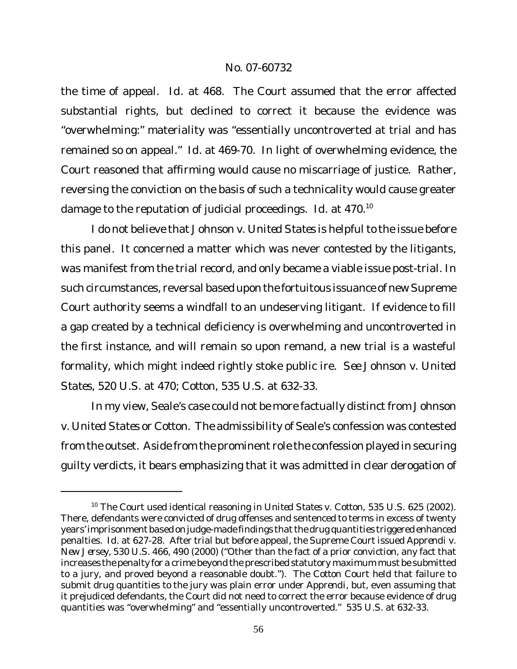the time of appeal. *Id.* at 468. The Court assumed that the error affected substantial rights, but declined to correct it because the evidence was "overwhelming:" materiality was "essentially uncontroverted at trial and has remained so on appeal." *Id.* at 469-70. In light of overwhelming evidence, the Court reasoned that affirming would cause no miscarriage of justice. Rather, reversing the conviction on the basis of such a technicality would cause greater damage to the reputation of judicial proceedings. *Id.* at 470.<sup>10</sup>

I do not believe that *Johnson v. United States* is helpful to the issue before this panel. It concerned a matter which was never contested by the litigants, was manifest from the trial record, and only became a viable issue post-trial. In such circumstances, reversal based upon the fortuitous issuance of new Supreme Court authority seems a windfall to an undeserving litigant. If evidence to fill a gap created by a technical deficiency is overwhelming and uncontroverted in the first instance, and will remain so upon remand, a new trial is a wasteful formality, which might indeed rightly stoke public ire. *See Johnson v. United States*, 520 U.S. at 470; *Cotton*, 535 U.S. at 632-33.

In my view, Seale's case could not be more factually distinct from *Johnson v. United States* or *Cotton*. The admissibility of Seale's confession was contested from the outset. Aside from the prominent role the confession played in securing guilty verdicts, it bears emphasizing that it was admitted in clear derogation of

<sup>10</sup> The Court used identical reasoning in *United States v. Cotton*, 535 U.S. 625 (2002). There, defendants were convicted of drug offenses and sentenced to terms in excess of twenty years' imprisonment based on judge-made findings that the drug quantities triggered enhanced penalties. *Id.* at 627-28. After trial but before appeal, the Supreme Court issued *Apprendi v. New Jersey*, 530 U.S. 466, 490 (2000) ("Other than the fact of a prior conviction, any fact that increases the penalty for a crime beyond the prescribed statutory maximum must be submitted to a jury, and proved beyond a reasonable doubt."). The *Cotton* Court held that failure to submit drug quantities to the jury was plain error under *Apprendi*, but, even assuming that it prejudiced defendants, the Court did not need to correct the error because evidence of drug quantities was "overwhelming" and "essentially uncontroverted." 535 U.S. at 632-33.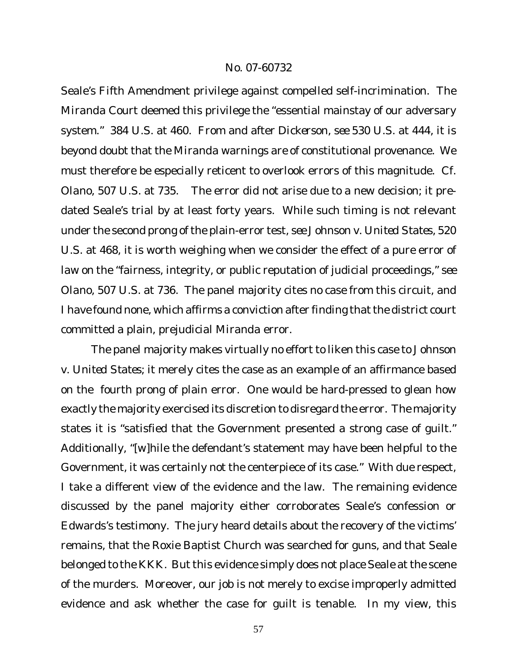Seale's Fifth Amendment privilege against compelled self-incrimination. The *Miranda* Court deemed this privilege the "essential mainstay of our adversary system." 384 U.S. at 460. From and after *Dickerson*, *see* 530 U.S. at 444, it is beyond doubt that the *Miranda* warnings are of constitutional provenance. We must therefore be especially reticent to overlook errors of this magnitude. *Cf. Olano*, 507 U.S. at 735. The error did not arise due to a new decision; it predated Seale's trial by at least forty years. While such timing is not relevant under the second prong of the plain-error test, *see Johnson v. United States*, 520 U.S. at 468, it is worth weighing when we consider the effect of a pure error of law on the "fairness, integrity, or public reputation of judicial proceedings," *see Olano*, 507 U.S. at 736. The panel majority cites no case from this circuit, and I have found none, which affirms a conviction after finding that the district court committed a plain, prejudicial *Miranda* error.

The panel majority makes virtually no effort to liken this case to *Johnson v. United States*; it merely cites the case as an example of an affirmance based on the fourth prong of plain error. One would be hard-pressed to glean how exactly the majority exercised its discretion to disregard the error. The majority states it is "satisfied that the Government presented a strong case of guilt." Additionally, "[w]hile the defendant's statement may have been helpful to the Government, it was certainly not the centerpiece of its case." With due respect, I take a different view of the evidence and the law. The remaining evidence discussed by the panel majority either corroborates Seale's confession or Edwards's testimony. The jury heard details about the recovery of the victims' remains, that the Roxie Baptist Church was searched for guns, and that Seale belonged to the KKK. But this evidence simply does not place Seale at the scene of the murders. Moreover, our job is not merely to excise improperly admitted evidence and ask whether the case for guilt is tenable. In my view, this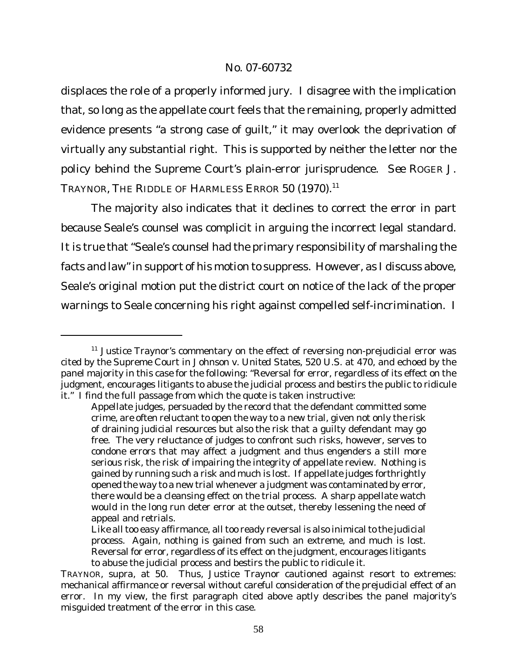displaces the role of a properly informed jury. I disagree with the implication that, so long as the appellate court feels that the remaining, properly admitted evidence presents "a strong case of guilt," it may overlook the deprivation of virtually any substantial right. This is supported by neither the letter nor the policy behind the Supreme Court's plain-error jurisprudence. *See* ROGER J. TRAYNOR, THE RIDDLE OF HARMLESS ERROR 50 (1970).<sup>11</sup>

The majority also indicates that it declines to correct the error in part because Seale's counsel was complicit in arguing the incorrect legal standard. It is true that "Seale's counsel had the primary responsibility of marshaling the facts and law" in support of his motion to suppress. However, as I discuss above, Seale's original motion put the district court on notice of the lack of the proper warnings to Seale concerning his right against compelled self-incrimination. I

<sup>&</sup>lt;sup>11</sup> Justice Traynor's commentary on the effect of reversing non-prejudicial error was cited by the Supreme Court in *Johnson v. United States*, 520 U.S. at 470, and echoed by the panel majority in this case for the following: "Reversal for error, regardless of its effect on the judgment, encourages litigants to abuse the judicial process and bestirs the public to ridicule it." I find the full passage from which the quote is taken instructive:

Appellate judges, persuaded by the record that the defendant committed some crime, are often reluctant to open the way to a new trial, given not only the risk of draining judicial resources but also the risk that a guilty defendant may go free. The very reluctance of judges to confront such risks, however, serves to condone errors that may affect a judgment and thus engenders a still more serious risk, the risk of impairing the integrity of appellate review. Nothing is gained by running such a risk and much is lost. If appellate judges forthrightly opened the way to a new trial whenever a judgment was contaminated by error, there would be a cleansing effect on the trial process. A sharp appellate watch would in the long run deter error at the outset, thereby lessening the need of appeal and retrials.

Like all too easy affirmance, all too ready reversal is also inimical to the judicial process. Again, nothing is gained from such an extreme, and much is lost. Reversal for error, regardless of its effect on the judgment, encourages litigants to abuse the judicial process and bestirs the public to ridicule it.

TRAYNOR, *supra*, at 50. Thus, Justice Traynor cautioned against resort to extremes: mechanical affirmance or reversal without careful consideration of the prejudicial effect of an error. In my view, the first paragraph cited above aptly describes the panel majority's misguided treatment of the error in this case.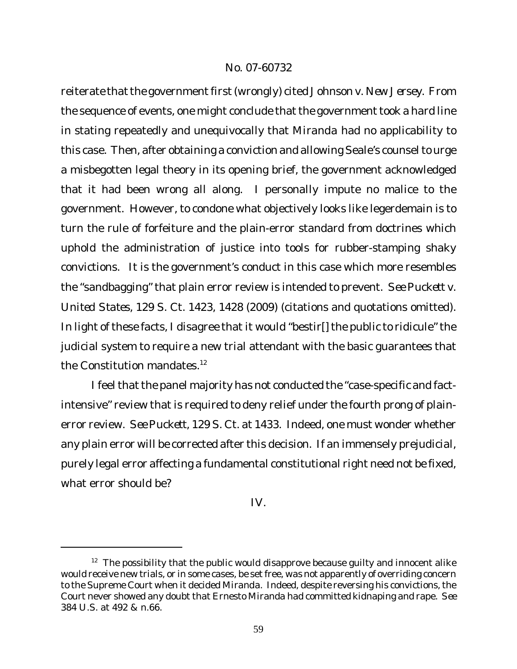reiterate that the government first (wrongly) cited Johnson *v*. New Jersey. From the sequence of events, one might conclude that the government took a hard line in stating repeatedly and unequivocally that *Miranda* had no applicability to this case. Then, after obtaining a conviction and allowing Seale's counsel to urge a misbegotten legal theory in its opening brief, the government acknowledged that it had been wrong all along. I personally impute no malice to the government. However, to condone what objectively looks like legerdemain is to turn the rule of forfeiture and the plain-error standard from doctrines which uphold the administration of justice into tools for rubber-stamping shaky convictions. It is the government's conduct in this case which more resembles the "sandbagging" that plain error review is intended to prevent. *See Puckett v. United States*, 129 S. Ct. 1423, 1428 (2009) (citations and quotations omitted). In light of these facts, I disagree that it would "bestir[] the public to ridicule" the judicial system to require a new trial attendant with the basic guarantees that the Constitution mandates.<sup>12</sup>

I feel that the panel majority has not conducted the "case-specific and factintensive" review that is required to deny relief under the fourth prong of plainerror review. *See Puckett*, 129 S. Ct. at 1433. Indeed, one must wonder whether any plain error will be corrected after this decision. If an immensely prejudicial, purely legal error affecting a fundamental constitutional right need not be fixed, what error should be?

IV.

 $12$  The possibility that the public would disapprove because quilty and innocent alike would receive new trials, or in some cases, be set free, was not apparently of overriding concern to the Supreme Court when it decided *Miranda*. Indeed, despite reversing his convictions, the Court never showed any doubt that Ernesto Miranda had committed kidnaping and rape. *See* 384 U.S. at 492 & n.66.